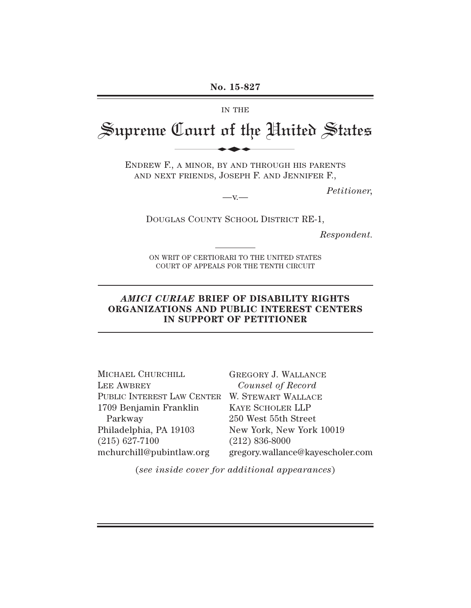#### IN THE

# Supreme Court of the United States

ENDREW F., A MINOR, BY AND THROUGH HIS PARENTS AND NEXT FRIENDS, JOSEPH F. AND JENNIFER F., No. 15-827

 $-\mathbf{v}$ 

*Petitioner,*

DOUGLAS COUNTY SCHOOL DISTRICT RE-1,

*Respondent.*

ON WRIT OF CERTIORARI TO THE UNITED STATES COURT OF APPEALS FOR THE TENTH CIRCUIT

#### *AMICI CURIAE* **BRIEF OF DISABILITY RIGHTS ORGANIZATIONS AND PUBLIC INTEREST CENTERS IN SUPPORT OF PETITIONER**

| MICHAEL CHURCHILL                             | <b>GREGORY J. WALLANCE</b>       |
|-----------------------------------------------|----------------------------------|
| LEE AWBREY                                    | Counsel of Record                |
| PUBLIC INTEREST LAW CENTER W. STEWART WALLACE |                                  |
| 1709 Benjamin Franklin                        | <b>KAYE SCHOLER LLP</b>          |
| Parkway                                       | 250 West 55th Street             |
| Philadelphia, PA 19103                        | New York, New York 10019         |
| $(215)$ 627-7100                              | $(212) 836-8000$                 |
| mchurchill@pubintlaw.org                      | gregory.wallance@kayescholer.com |

(*see inside cover for additional appearances*)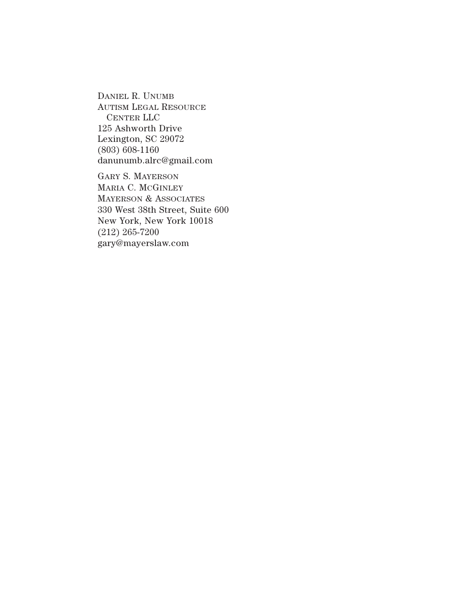DANIEL R. UNUMB AUTISM LEGAL RESOURCE CENTER LLC 125 Ashworth Drive Lexington, SC 29072 (803) 608-1160 danunumb.alrc@gmail.com

GARY S. MAYERSON MARIA C. MCGINLEY MAYERSON & ASSOCIATES 330 West 38th Street, Suite 600 New York, New York 10018 (212) 265-7200 gary@mayerslaw.com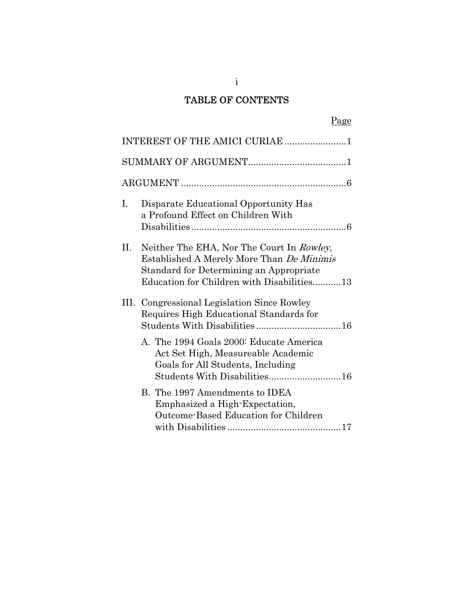# TABLE OF CONTENTS

|    | Page                                                                                                                                                                                   |
|----|----------------------------------------------------------------------------------------------------------------------------------------------------------------------------------------|
|    | INTEREST OF THE AMICI CURIAE 1                                                                                                                                                         |
|    |                                                                                                                                                                                        |
|    |                                                                                                                                                                                        |
| L. | Disparate Educational Opportunity Has<br>a Profound Effect on Children With                                                                                                            |
| Н. | Neither The EHA, Nor The Court In Rowley,<br>Established A Merely More Than <i>De Minimis</i><br>Standard for Determining an Appropriate<br>Education for Children with Disabilities13 |
|    | III. Congressional Legislation Since Rowley<br>Requires High Educational Standards for                                                                                                 |
|    | A. The 1994 Goals 2000: Educate America<br>Act Set High, Measureable Academic<br>Goals for All Students, Including<br>Students With Disabilities16                                     |
|    | B. The 1997 Amendments to IDEA<br>Emphasized a High-Expectation,<br>Outcome-Based Education for Children                                                                               |

i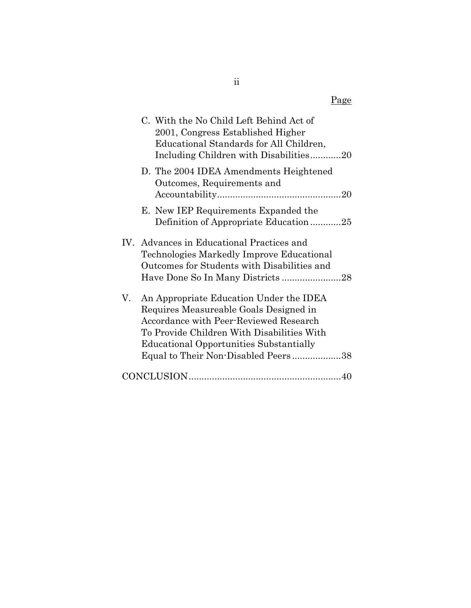|    | C. With the No Child Left Behind Act of<br>2001, Congress Established Higher<br>Educational Standards for All Children,<br>Including Children with Disabilities20                                                                                                  |
|----|--------------------------------------------------------------------------------------------------------------------------------------------------------------------------------------------------------------------------------------------------------------------|
|    | D. The 2004 IDEA Amendments Heightened<br>Outcomes, Requirements and                                                                                                                                                                                               |
|    | E. New IEP Requirements Expanded the<br>Definition of Appropriate Education25                                                                                                                                                                                      |
|    | IV. Advances in Educational Practices and<br>Technologies Markedly Improve Educational<br>Outcomes for Students with Disabilities and                                                                                                                              |
| V. | An Appropriate Education Under the IDEA<br>Requires Measureable Goals Designed in<br>Accordance with Peer-Reviewed Research<br>To Provide Children With Disabilities With<br><b>Educational Opportunities Substantially</b><br>Equal to Their Non-Disabled Peers38 |
|    |                                                                                                                                                                                                                                                                    |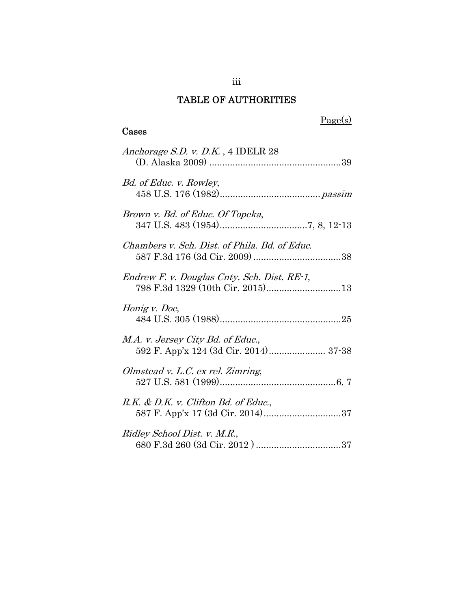# TABLE OF AUTHORITIES

### Cases

# Page(s)

| Anchorage S.D. v. D.K., 4 IDELR 28                                       |
|--------------------------------------------------------------------------|
| Bd. of Educ. v. Rowley,                                                  |
| Brown v. Bd. of Educ. Of Topeka,                                         |
| Chambers v. Sch. Dist. of Phila. Bd. of Educ.                            |
| Endrew F. v. Douglas Cnty. Sch. Dist. RE-1,                              |
| Honig v. Doe,                                                            |
| M.A. v. Jersey City Bd. of Educ.,                                        |
| Olmstead v. L.C. ex rel. Zimring,                                        |
| R.K. & D.K. v. Clifton Bd. of Educ.,<br>587 F. App'x 17 (3d Cir. 2014)37 |
| Ridley School Dist. v. M.R.,                                             |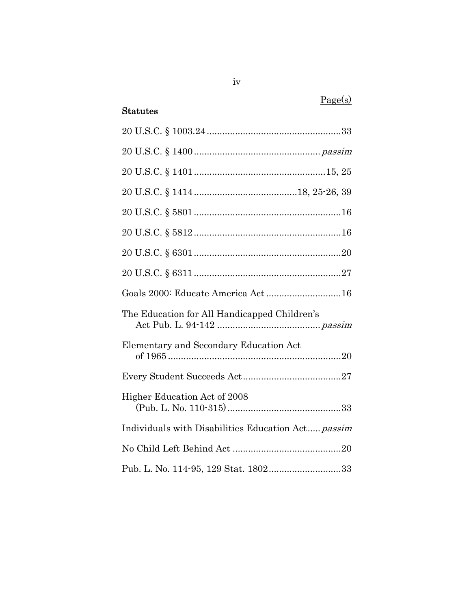# Page(s)

### Statutes

| Goals 2000: Educate America Act16                  |
|----------------------------------------------------|
| The Education for All Handicapped Children's       |
| Elementary and Secondary Education Act             |
|                                                    |
| Higher Education Act of 2008                       |
| Individuals with Disabilities Education Act passim |
|                                                    |
| Pub. L. No. 114-95, 129 Stat. 180233               |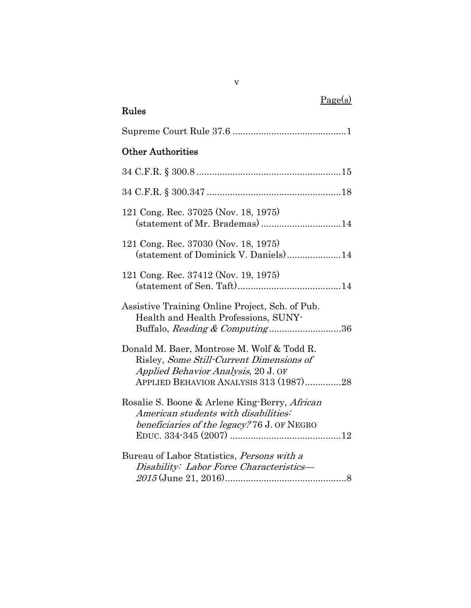# Page(s)

# Rules

| <b>Other Authorities</b>                                                                                                                                                |
|-------------------------------------------------------------------------------------------------------------------------------------------------------------------------|
|                                                                                                                                                                         |
|                                                                                                                                                                         |
| 121 Cong. Rec. 37025 (Nov. 18, 1975)                                                                                                                                    |
| 121 Cong. Rec. 37030 (Nov. 18, 1975)<br>(statement of Dominick V. Daniels)14                                                                                            |
| 121 Cong. Rec. 37412 (Nov. 19, 1975)                                                                                                                                    |
| Assistive Training Online Project, Sch. of Pub.<br>Health and Health Professions, SUNY-<br>Buffalo, Reading & Computing36                                               |
| Donald M. Baer, Montrose M. Wolf & Todd R.<br>Risley, Some Still-Current Dimensions of<br>Applied Behavior Analysis, 20 J. OF<br>APPLIED BEHAVIOR ANALYSIS 313 (1987)28 |
| Rosalie S. Boone & Arlene King-Berry, African<br>American students with disabilities:<br>beneficiaries of the legacy? 76 J. OF NEGRO                                    |
| Bureau of Labor Statistics, <i>Persons with a</i><br>Disability: Labor Force Characteristics-                                                                           |

v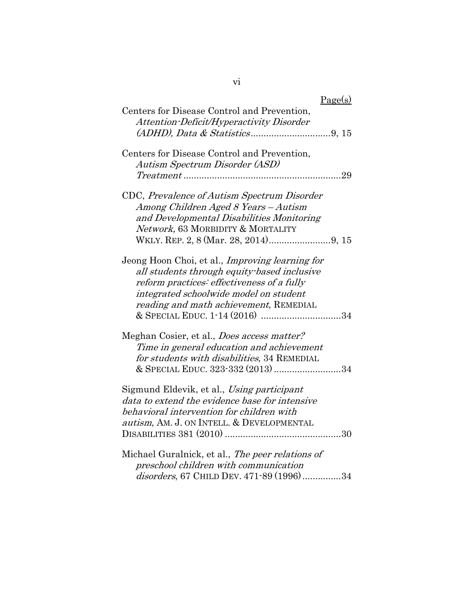# vi

| Page(s)                                                |
|--------------------------------------------------------|
| Centers for Disease Control and Prevention,            |
| Attention-Deficit/Hyperactivity Disorder               |
|                                                        |
| Centers for Disease Control and Prevention,            |
|                                                        |
| Autism Spectrum Disorder (ASD)                         |
| 29                                                     |
| CDC, Prevalence of Autism Spectrum Disorder            |
| Among Children Aged 8 Years - Autism                   |
| and Developmental Disabilities Monitoring              |
| Network, 63 MORBIDITY & MORTALITY                      |
|                                                        |
|                                                        |
| Jeong Hoon Choi, et al., <i>Improving learning for</i> |
| all students through equity based inclusive            |
| reform practices: effectiveness of a fully             |
| integrated schoolwide model on student                 |
|                                                        |
| reading and math achievement, REMEDIAL                 |
| & SPECIAL EDUC. 1-14 (2016) 34                         |
| Meghan Cosier, et al., <i>Does access matter?</i>      |
| Time in general education and achievement              |
| for students with disabilities, 34 REMEDIAL            |
| & SPECIAL EDUC. 323-332 (2013) 34                      |
|                                                        |
| Sigmund Eldevik, et al., Using participant             |
| data to extend the evidence base for intensive         |
| behavioral intervention for children with              |
| autism, AM. J. ON INTELL. & DEVELOPMENTAL              |
|                                                        |
|                                                        |
| Michael Guralnick, et al., The peer relations of       |
| preschool children with communication                  |
| disorders, 67 CHILD DEV. 471-89 (1996)34               |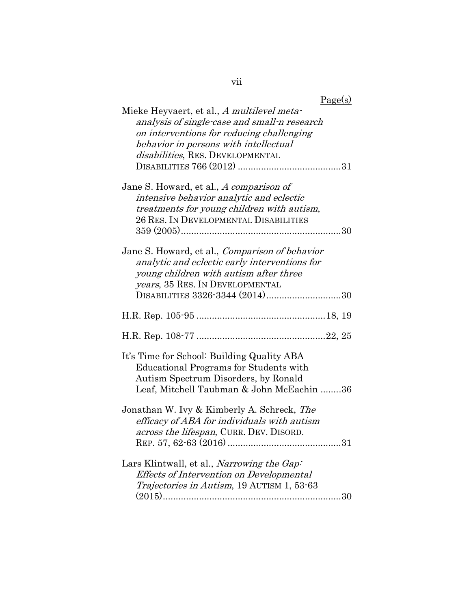| Page(s)                                                                                                                                                                                                                |
|------------------------------------------------------------------------------------------------------------------------------------------------------------------------------------------------------------------------|
| Mieke Heyvaert, et al., A multilevel meta-<br>analysis of single-case and small-n research<br>on interventions for reducing challenging<br>behavior in persons with intellectual<br>disabilities, RES. DEVELOPMENTAL   |
| Jane S. Howard, et al., A comparison of<br>intensive behavior analytic and eclectic<br>treatments for young children with autism,<br>26 RES. IN DEVELOPMENTAL DISABILITIES                                             |
| Jane S. Howard, et al., <i>Comparison of behavior</i><br>analytic and eclectic early interventions for<br>young children with autism after three<br>years, 35 RES. IN DEVELOPMENTAL<br>DISABILITIES 3326-3344 (2014)30 |
|                                                                                                                                                                                                                        |
|                                                                                                                                                                                                                        |
| It's Time for School: Building Quality ABA<br><b>Educational Programs for Students with</b><br>Autism Spectrum Disorders, by Ronald<br>Leaf, Mitchell Taubman & John McEachin 36                                       |
| Jonathan W. Ivy & Kimberly A. Schreck, The<br>efficacy of ABA for individuals with autism<br>across the lifespan, CURR. DEV. DISORD.                                                                                   |
| Lars Klintwall, et al., <i>Narrowing the Gap</i> :<br>Effects of Intervention on Developmental<br>Trajectories in Autism, 19 AUTISM 1, 53-63                                                                           |

vii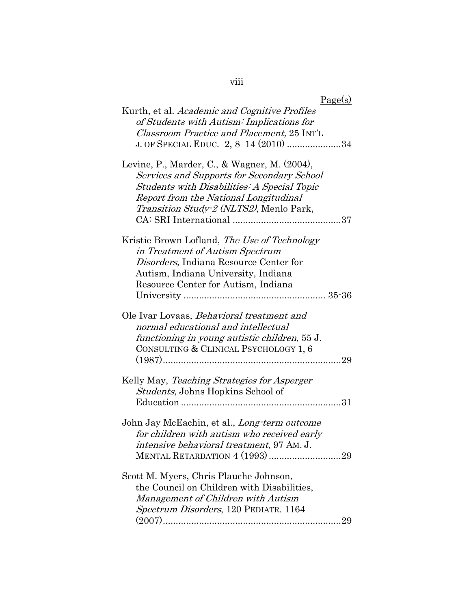## viii

| <u>Page(s)</u>                                                                                                                                                                                                                |
|-------------------------------------------------------------------------------------------------------------------------------------------------------------------------------------------------------------------------------|
| Kurth, et al. Academic and Cognitive Profiles<br>of Students with Autism: Implications for<br>Classroom Practice and Placement, 25 INT'L<br>J. OF SPECIAL EDUC. 2, 8–14 (2010) 34                                             |
| Levine, P., Marder, C., & Wagner, M. (2004),<br>Services and Supports for Secondary School<br>Students with Disabilities: A Special Topic<br>Report from the National Longitudinal<br>Transition Study-2 (NLTS2), Menlo Park, |
| Kristie Brown Lofland, <i>The Use of Technology</i><br>in Treatment of Autism Spectrum<br>Disorders, Indiana Resource Center for<br>Autism, Indiana University, Indiana<br>Resource Center for Autism, Indiana                |
| Ole Ivar Lovaas, <i>Behavioral treatment and</i><br>normal educational and intellectual<br>functioning in young autistic children, 55 J.<br>CONSULTING & CLINICAL PSYCHOLOGY 1, 6                                             |
| Kelly May, Teaching Strategies for Asperger<br><i>Students</i> , Johns Hopkins School of<br>31                                                                                                                                |
| John Jay McEachin, et al., <i>Long-term outcome</i><br>for children with autism who received early<br>intensive behavioral treatment, 97 AM. J.<br>MENTAL RETARDATION 4 (1993) 29                                             |
| Scott M. Myers, Chris Plauche Johnson,<br>the Council on Children with Disabilities,<br>Management of Children with Autism<br>Spectrum Disorders, 120 PEDIATR. 1164                                                           |

 $\mathbf{p}_{\alpha\alpha\alpha}(\alpha)$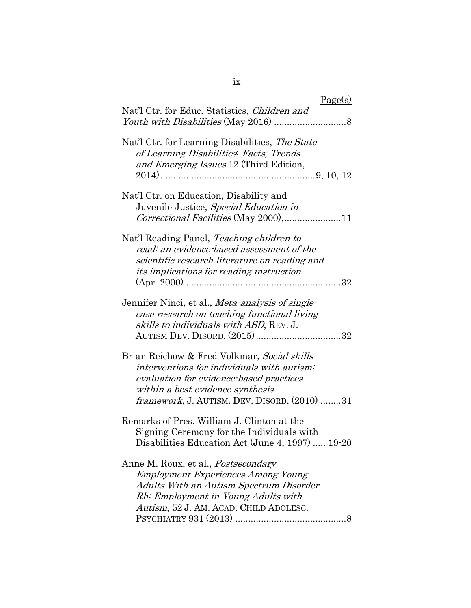| Page(s)                                                                                                                                                                                                                    |
|----------------------------------------------------------------------------------------------------------------------------------------------------------------------------------------------------------------------------|
| Nat'l Ctr. for Educ. Statistics, Children and                                                                                                                                                                              |
| Nat'l Ctr. for Learning Disabilities, The State<br>of Learning Disabilities: Facts, Trends<br>and Emerging Issues 12 (Third Edition,                                                                                       |
| Nat'l Ctr. on Education, Disability and<br>Juvenile Justice, Special Education in<br>Correctional Facilities (May 2000),11                                                                                                 |
| Nat'l Reading Panel, Teaching children to<br>read: an evidence-based assessment of the<br>scientific research literature on reading and<br><i>its implications for reading instruction</i>                                 |
| Jennifer Ninci, et al., <i>Meta-analysis of single-</i><br>case research on teaching functional living<br>skills to individuals with ASD, REV. J.<br>AUTISM DEV. DISORD. (2015)32                                          |
| Brian Reichow & Fred Volkmar, Social skills<br>interventions for individuals with autism:<br>evaluation for evidence-based practices<br>within a best evidence synthesis<br>framework, J. AUTISM. DEV. DISORD. (2010) 31   |
| Remarks of Pres. William J. Clinton at the<br>Signing Ceremony for the Individuals with<br>Disabilities Education Act (June 4, 1997)  19-20                                                                                |
| Anne M. Roux, et al., <i>Postsecondary</i><br><b>Employment Experiences Among Young</b><br><b>Adults With an Autism Spectrum Disorder</b><br>Rh: Employment in Young Adults with<br>Autism, 52 J. AM. ACAD. CHILD ADOLESC. |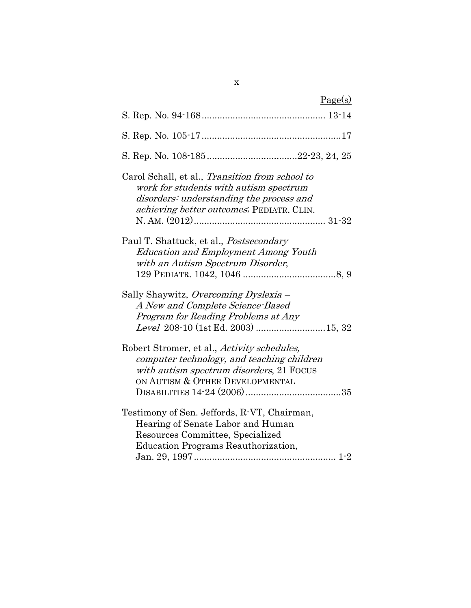| Page(s)                                                                                                                                                                            |
|------------------------------------------------------------------------------------------------------------------------------------------------------------------------------------|
|                                                                                                                                                                                    |
|                                                                                                                                                                                    |
|                                                                                                                                                                                    |
| Carol Schall, et al., Transition from school to<br>work for students with autism spectrum<br>disorders: understanding the process and<br>achieving better outcomes; PEDIATR. CLIN. |
| Paul T. Shattuck, et al., <i>Postsecondary</i><br><b>Education and Employment Among Youth</b><br>with an Autism Spectrum Disorder,                                                 |
| Sally Shaywitz, Overcoming Dyslexia –<br>A New and Complete Science-Based<br>Program for Reading Problems at Any<br>Level 208-10 (1st Ed. 2003) 15, 32                             |
| Robert Stromer, et al., Activity schedules,<br>computer technology, and teaching children<br>with autism spectrum disorders, 21 FOCUS<br>ON AUTISM & OTHER DEVELOPMENTAL           |
| Testimony of Sen. Jeffords, R-VT, Chairman,<br>Hearing of Senate Labor and Human<br>Resources Committee, Specialized<br>Education Programs Reauthorization,                        |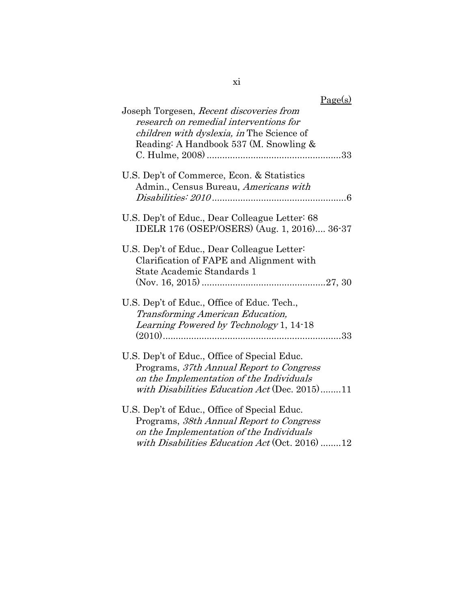| Page(s)                                        |
|------------------------------------------------|
| Joseph Torgesen, Recent discoveries from       |
| research on remedial interventions for         |
| children with dyslexia, in The Science of      |
| Reading: A Handbook 537 (M. Snowling &         |
|                                                |
| U.S. Dep't of Commerce, Econ. & Statistics     |
| Admin., Census Bureau, Americans with          |
|                                                |
| U.S. Dep't of Educ., Dear Colleague Letter: 68 |
| IDELR 176 (OSEP/OSERS) (Aug. 1, 2016) 36-37    |
| U.S. Dep't of Educ., Dear Colleague Letter     |
| Clarification of FAPE and Alignment with       |
| State Academic Standards 1                     |
|                                                |
| U.S. Dep't of Educ., Office of Educ. Tech.,    |
| Transforming American Education,               |
| Learning Powered by Technology 1, 14-18        |
|                                                |
| U.S. Dep't of Educ., Office of Special Educ.   |
| Programs, 37th Annual Report to Congress       |
| on the Implementation of the Individuals       |
| with Disabilities Education Act (Dec. 2015)11  |
| U.S. Dep't of Educ., Office of Special Educ.   |
| Programs, 38th Annual Report to Congress       |
| on the Implementation of the Individuals       |
| with Disabilities Education Act (Oct. 2016) 12 |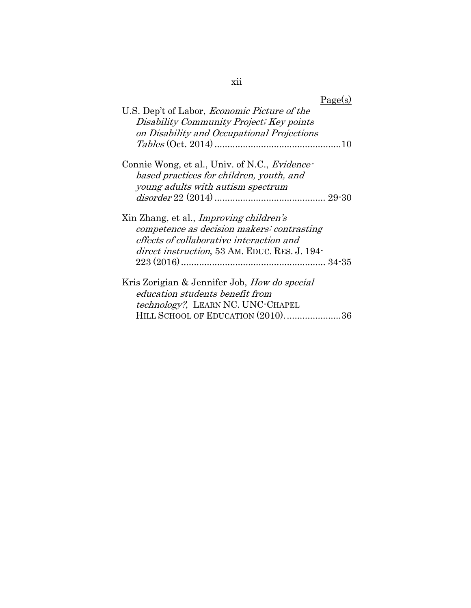| ł | ł |
|---|---|
| ٧ |   |

| r<br>⋍<br>1 | , |
|-------------|---|
|             |   |

| U.S. Dep't of Labor, <i>Economic Picture of the</i><br>Disability Community Project; Key points                                                                                           |
|-------------------------------------------------------------------------------------------------------------------------------------------------------------------------------------------|
| on Disability and Occupational Projections                                                                                                                                                |
| Connie Wong, et al., Univ. of N.C., Evidence-<br>based practices for children, youth, and                                                                                                 |
| young adults with autism spectrum                                                                                                                                                         |
| Xin Zhang, et al., <i>Improving children's</i><br>competence as decision makers: contrasting<br>effects of collaborative interaction and<br>direct instruction, 53 AM. EDUC. RES. J. 194- |
| Kris Zorigian & Jennifer Job, <i>How do special</i><br>education students benefit from                                                                                                    |
| technology?, LEARN NC. UNC-CHAPEL<br>HILL SCHOOL OF EDUCATION (2010)36                                                                                                                    |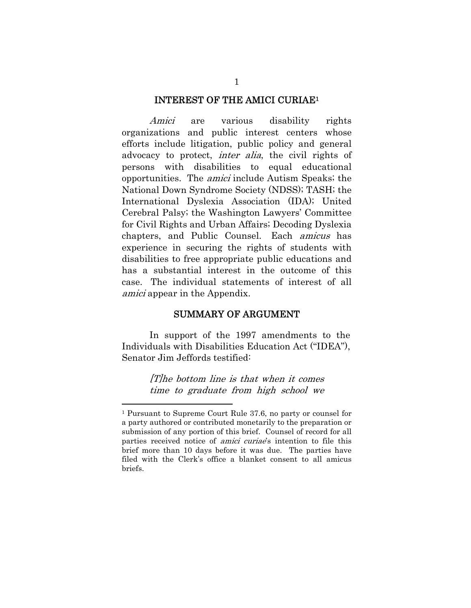#### INTEREST OF THE AMICI CURIAE1

Amici are various disability rights organizations and public interest centers whose efforts include litigation, public policy and general advocacy to protect, *inter alia*, the civil rights of persons with disabilities to equal educational opportunities. The amici include Autism Speaks; the National Down Syndrome Society (NDSS); TASH; the International Dyslexia Association (IDA); United Cerebral Palsy; the Washington Lawyers' Committee for Civil Rights and Urban Affairs; Decoding Dyslexia chapters, and Public Counsel. Each amicus has experience in securing the rights of students with disabilities to free appropriate public educations and has a substantial interest in the outcome of this case. The individual statements of interest of all amici appear in the Appendix.

#### SUMMARY OF ARGUMENT

 In support of the 1997 amendments to the Individuals with Disabilities Education Act ("IDEA"), Senator Jim Jeffords testified:

> [T]he bottom line is that when it comes time to graduate from high school we

<sup>1</sup> Pursuant to Supreme Court Rule 37.6, no party or counsel for a party authored or contributed monetarily to the preparation or submission of any portion of this brief. Counsel of record for all parties received notice of *amici curiae*'s intention to file this brief more than 10 days before it was due. The parties have filed with the Clerk's office a blanket consent to all amicus briefs.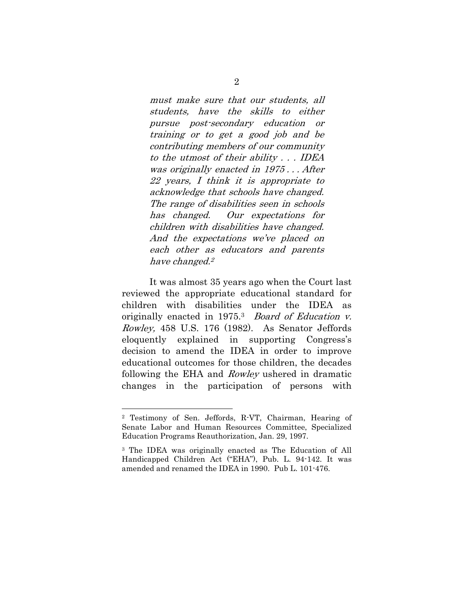must make sure that our students, all students, have the skills to either pursue post-secondary education or training or to get a good job and be contributing members of our community to the utmost of their ability . . . IDEA was originally enacted in 1975 . . . After 22 years, I think it is appropriate to acknowledge that schools have changed. The range of disabilities seen in schools has changed. Our expectations for children with disabilities have changed. And the expectations we've placed on each other as educators and parents have changed.<sup>2</sup>

It was almost 35 years ago when the Court last reviewed the appropriate educational standard for children with disabilities under the IDEA as originally enacted in 1975.<sup>3</sup> Board of Education v. Rowley, 458 U.S. 176 (1982). As Senator Jeffords eloquently explained in supporting Congress's decision to amend the IDEA in order to improve educational outcomes for those children, the decades following the EHA and Rowley ushered in dramatic changes in the participation of persons with

<sup>2</sup> Testimony of Sen. Jeffords, R-VT, Chairman, Hearing of Senate Labor and Human Resources Committee, Specialized Education Programs Reauthorization, Jan. 29, 1997.

<sup>3</sup> The IDEA was originally enacted as The Education of All Handicapped Children Act ("EHA"), Pub. L. 94-142. It was amended and renamed the IDEA in 1990. Pub L. 101-476.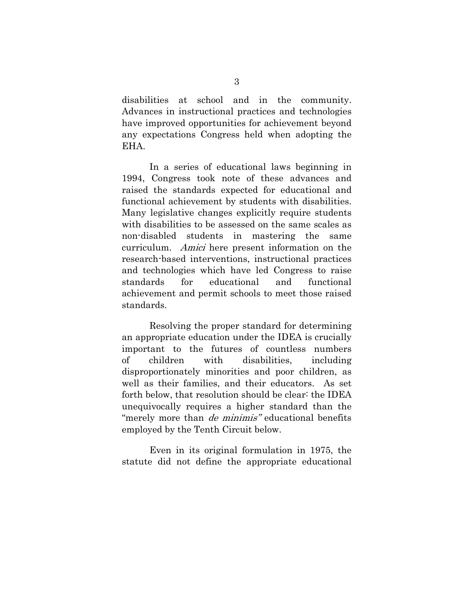disabilities at school and in the community. Advances in instructional practices and technologies have improved opportunities for achievement beyond any expectations Congress held when adopting the EHA.

In a series of educational laws beginning in 1994, Congress took note of these advances and raised the standards expected for educational and functional achievement by students with disabilities. Many legislative changes explicitly require students with disabilities to be assessed on the same scales as non-disabled students in mastering the same curriculum. Amici here present information on the research-based interventions, instructional practices and technologies which have led Congress to raise standards for educational and functional achievement and permit schools to meet those raised standards.

Resolving the proper standard for determining an appropriate education under the IDEA is crucially important to the futures of countless numbers of children with disabilities, including disproportionately minorities and poor children, as well as their families, and their educators. As set forth below, that resolution should be clear: the IDEA unequivocally requires a higher standard than the "merely more than *de minimis"* educational benefits employed by the Tenth Circuit below.

Even in its original formulation in 1975, the statute did not define the appropriate educational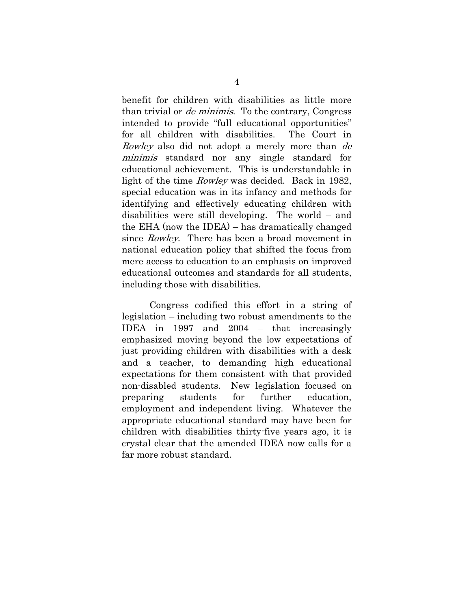benefit for children with disabilities as little more than trivial or de minimis. To the contrary, Congress intended to provide "full educational opportunities" for all children with disabilities. The Court in Rowley also did not adopt a merely more than de minimis standard nor any single standard for educational achievement. This is understandable in light of the time Rowley was decided. Back in 1982, special education was in its infancy and methods for identifying and effectively educating children with disabilities were still developing. The world – and the EHA (now the IDEA) – has dramatically changed since *Rowley*. There has been a broad movement in national education policy that shifted the focus from mere access to education to an emphasis on improved educational outcomes and standards for all students, including those with disabilities.

Congress codified this effort in a string of legislation – including two robust amendments to the IDEA in 1997 and 2004 – that increasingly emphasized moving beyond the low expectations of just providing children with disabilities with a desk and a teacher, to demanding high educational expectations for them consistent with that provided non-disabled students. New legislation focused on preparing students for further education, employment and independent living. Whatever the appropriate educational standard may have been for children with disabilities thirty-five years ago, it is crystal clear that the amended IDEA now calls for a far more robust standard.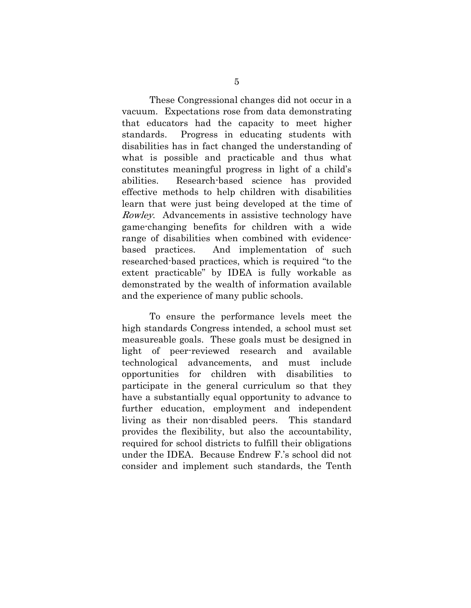These Congressional changes did not occur in a vacuum. Expectations rose from data demonstrating that educators had the capacity to meet higher standards. Progress in educating students with disabilities has in fact changed the understanding of what is possible and practicable and thus what constitutes meaningful progress in light of a child's abilities. Research-based science has provided effective methods to help children with disabilities learn that were just being developed at the time of Rowley. Advancements in assistive technology have game-changing benefits for children with a wide range of disabilities when combined with evidencebased practices. And implementation of such researched-based practices, which is required "to the extent practicable" by IDEA is fully workable as demonstrated by the wealth of information available and the experience of many public schools.

To ensure the performance levels meet the high standards Congress intended, a school must set measureable goals. These goals must be designed in light of peer-reviewed research and available technological advancements, and must include opportunities for children with disabilities to participate in the general curriculum so that they have a substantially equal opportunity to advance to further education, employment and independent living as their non-disabled peers. This standard provides the flexibility, but also the accountability, required for school districts to fulfill their obligations under the IDEA. Because Endrew F.'s school did not consider and implement such standards, the Tenth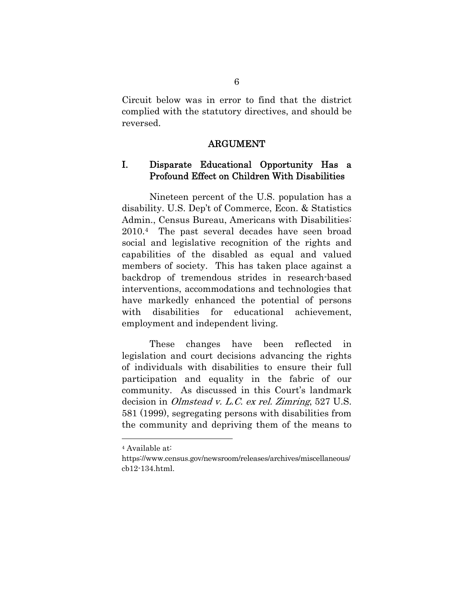Circuit below was in error to find that the district complied with the statutory directives, and should be reversed.

#### ARGUMENT

### I. Disparate Educational Opportunity Has a Profound Effect on Children With Disabilities

Nineteen percent of the U.S. population has a disability. U.S. Dep't of Commerce, Econ. & Statistics Admin., Census Bureau, Americans with Disabilities: 2010.4 The past several decades have seen broad social and legislative recognition of the rights and capabilities of the disabled as equal and valued members of society. This has taken place against a backdrop of tremendous strides in research-based interventions, accommodations and technologies that have markedly enhanced the potential of persons with disabilities for educational achievement, employment and independent living.

These changes have been reflected in legislation and court decisions advancing the rights of individuals with disabilities to ensure their full participation and equality in the fabric of our community. As discussed in this Court's landmark decision in *Olmstead v. L.C. ex rel. Zimring*, 527 U.S. 581 (1999), segregating persons with disabilities from the community and depriving them of the means to

<sup>4</sup> Available at:

https://www.census.gov/newsroom/releases/archives/miscellaneous/ cb12-134.html.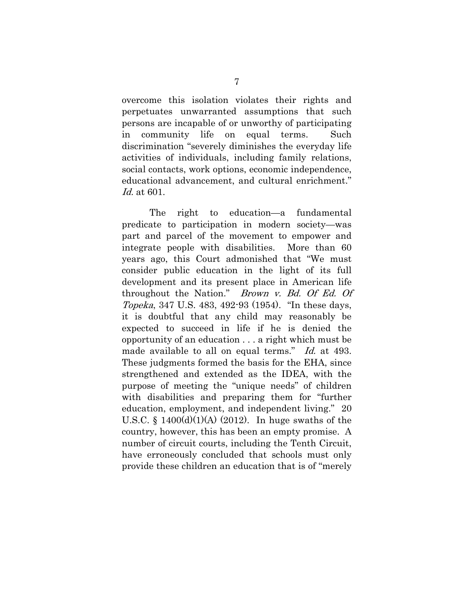overcome this isolation violates their rights and perpetuates unwarranted assumptions that such persons are incapable of or unworthy of participating in community life on equal terms. Such discrimination "severely diminishes the everyday life activities of individuals, including family relations, social contacts, work options, economic independence, educational advancement, and cultural enrichment." Id. at 601.

The right to education—a fundamental predicate to participation in modern society—was part and parcel of the movement to empower and integrate people with disabilities. More than 60 years ago, this Court admonished that "We must consider public education in the light of its full development and its present place in American life throughout the Nation." Brown v. Bd. Of Ed. Of Topeka, 347 U.S. 483, 492-93 (1954). "In these days, it is doubtful that any child may reasonably be expected to succeed in life if he is denied the opportunity of an education . . . a right which must be made available to all on equal terms." Id. at 493. These judgments formed the basis for the EHA, since strengthened and extended as the IDEA, with the purpose of meeting the "unique needs" of children with disabilities and preparing them for "further education, employment, and independent living." 20 U.S.C.  $\S$  1400(d)(1)(A) (2012). In huge swaths of the country, however, this has been an empty promise. A number of circuit courts, including the Tenth Circuit, have erroneously concluded that schools must only provide these children an education that is of "merely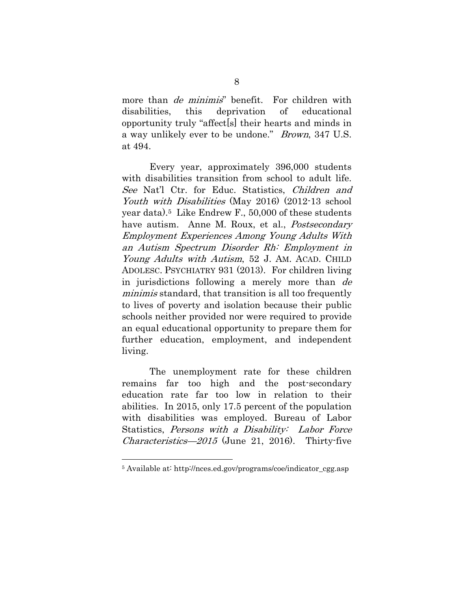more than *de minimis*" benefit. For children with disabilities, this deprivation of educational opportunity truly "affect[s] their hearts and minds in a way unlikely ever to be undone." Brown, 347 U.S. at 494.

Every year, approximately 396,000 students with disabilities transition from school to adult life. See Nat'l Ctr. for Educ. Statistics, Children and Youth with Disabilities (May 2016) (2012-13 school year data).5 Like Endrew F., 50,000 of these students have autism. Anne M. Roux, et al., *Postsecondary* Employment Experiences Among Young Adults With an Autism Spectrum Disorder Rh: Employment in Young Adults with Autism, 52 J. AM. ACAD. CHILD ADOLESC. PSYCHIATRY 931 (2013). For children living in jurisdictions following a merely more than de minimis standard, that transition is all too frequently to lives of poverty and isolation because their public schools neither provided nor were required to provide an equal educational opportunity to prepare them for further education, employment, and independent living.

The unemployment rate for these children remains far too high and the post-secondary education rate far too low in relation to their abilities. In 2015, only 17.5 percent of the population with disabilities was employed. Bureau of Labor Statistics, Persons with a Disability: Labor Force *Characteristics—2015* (June 21, 2016). Thirty-five

<sup>5</sup> Available at: http://nces.ed.gov/programs/coe/indicator\_cgg.asp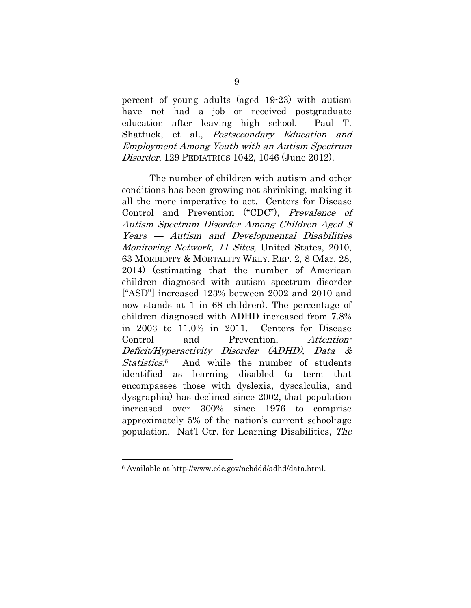percent of young adults (aged 19-23) with autism have not had a job or received postgraduate education after leaving high school. Paul T. Shattuck, et al., Postsecondary Education and Employment Among Youth with an Autism Spectrum Disorder, 129 PEDIATRICS 1042, 1046 (June 2012).

The number of children with autism and other conditions has been growing not shrinking, making it all the more imperative to act. Centers for Disease Control and Prevention ("CDC"), Prevalence of Autism Spectrum Disorder Among Children Aged 8 Years — Autism and Developmental Disabilities Monitoring Network, 11 Sites, United States, 2010, 63 MORBIDITY & MORTALITY WKLY. REP. 2, 8 (Mar. 28, 2014) (estimating that the number of American children diagnosed with autism spectrum disorder ["ASD"] increased 123% between 2002 and 2010 and now stands at 1 in 68 children). The percentage of children diagnosed with ADHD increased from 7.8% in 2003 to 11.0% in 2011. Centers for Disease Control and Prevention, Attention-Deficit/Hyperactivity Disorder (ADHD), Data & Statistics.<sup>6</sup> And while the number of students identified as learning disabled (a term that encompasses those with dyslexia, dyscalculia, and dysgraphia) has declined since 2002, that population increased over 300% since 1976 to comprise approximately 5% of the nation's current school-age population. Nat'l Ctr. for Learning Disabilities, The

<sup>6</sup> Available at http://www.cdc.gov/ncbddd/adhd/data.html.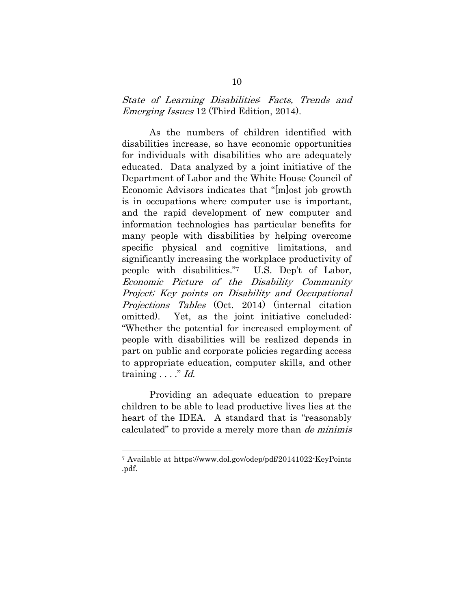### State of Learning Disabilities: Facts, Trends and Emerging Issues 12 (Third Edition, 2014).

As the numbers of children identified with disabilities increase, so have economic opportunities for individuals with disabilities who are adequately educated. Data analyzed by a joint initiative of the Department of Labor and the White House Council of Economic Advisors indicates that "[m]ost job growth is in occupations where computer use is important, and the rapid development of new computer and information technologies has particular benefits for many people with disabilities by helping overcome specific physical and cognitive limitations, and significantly increasing the workplace productivity of people with disabilities."7 U.S. Dep't of Labor, Economic Picture of the Disability Community Project; Key points on Disability and Occupational Projections Tables (Oct. 2014) (internal citation omitted). Yet, as the joint initiative concluded: "Whether the potential for increased employment of people with disabilities will be realized depends in part on public and corporate policies regarding access to appropriate education, computer skills, and other training  $\ldots$  " Id.

Providing an adequate education to prepare children to be able to lead productive lives lies at the heart of the IDEA. A standard that is "reasonably calculated" to provide a merely more than de minimis

<sup>7</sup> Available at https://www.dol.gov/odep/pdf/20141022-KeyPoints .pdf.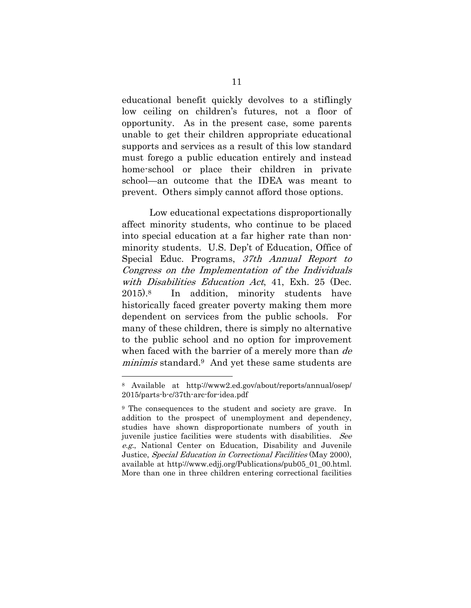educational benefit quickly devolves to a stiflingly low ceiling on children's futures, not a floor of opportunity. As in the present case, some parents unable to get their children appropriate educational supports and services as a result of this low standard must forego a public education entirely and instead home-school or place their children in private school—an outcome that the IDEA was meant to prevent. Others simply cannot afford those options.

Low educational expectations disproportionally affect minority students, who continue to be placed into special education at a far higher rate than nonminority students. U.S. Dep't of Education, Office of Special Educ. Programs, 37th Annual Report to Congress on the Implementation of the Individuals with Disabilities Education Act, 41, Exh. 25 (Dec. 2015).8 In addition, minority students have historically faced greater poverty making them more dependent on services from the public schools. For many of these children, there is simply no alternative to the public school and no option for improvement when faced with the barrier of a merely more than de minimis standard.<sup>9</sup> And yet these same students are

<sup>8</sup> Available at http://www2.ed.gov/about/reports/annual/osep/ 2015/parts-b-c/37th-arc-for-idea.pdf

<sup>9</sup> The consequences to the student and society are grave. In addition to the prospect of unemployment and dependency, studies have shown disproportionate numbers of youth in juvenile justice facilities were students with disabilities. See e.g., National Center on Education, Disability and Juvenile Justice, Special Education in Correctional Facilities (May 2000), available at http://www.edjj.org/Publications/pub05\_01\_00.html. More than one in three children entering correctional facilities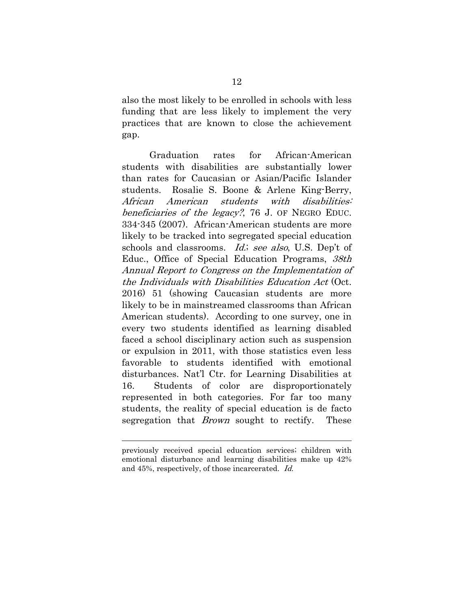also the most likely to be enrolled in schools with less funding that are less likely to implement the very practices that are known to close the achievement gap.

Graduation rates for African-American students with disabilities are substantially lower than rates for Caucasian or Asian/Pacific Islander students. Rosalie S. Boone & Arlene King-Berry, African American students with disabilities: beneficiaries of the legacy?, 76 J. OF NEGRO EDUC. 334-345 (2007). African-American students are more likely to be tracked into segregated special education schools and classrooms. Id.; see also, U.S. Dep't of Educ., Office of Special Education Programs, 38th Annual Report to Congress on the Implementation of the Individuals with Disabilities Education Act (Oct. 2016) 51 (showing Caucasian students are more likely to be in mainstreamed classrooms than African American students). According to one survey, one in every two students identified as learning disabled faced a school disciplinary action such as suspension or expulsion in 2011, with those statistics even less favorable to students identified with emotional disturbances. Nat'l Ctr. for Learning Disabilities at 16. Students of color are disproportionately represented in both categories. For far too many students, the reality of special education is de facto segregation that *Brown* sought to rectify. These

previously received special education services; children with emotional disturbance and learning disabilities make up 42% and 45%, respectively, of those incarcerated. Id.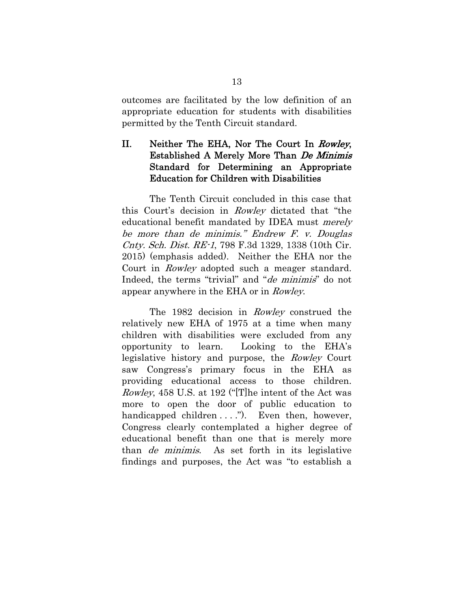outcomes are facilitated by the low definition of an appropriate education for students with disabilities permitted by the Tenth Circuit standard.

### II. Neither The EHA, Nor The Court In Rowley, Established A Merely More Than De Minimis Standard for Determining an Appropriate Education for Children with Disabilities

The Tenth Circuit concluded in this case that this Court's decision in Rowley dictated that "the educational benefit mandated by IDEA must merely be more than de minimis." Endrew F. v. Douglas Cnty. Sch. Dist. RE-1, 798 F.3d 1329, 1338 (10th Cir. 2015) (emphasis added). Neither the EHA nor the Court in Rowley adopted such a meager standard. Indeed, the terms "trivial" and "*de minimis*" do not appear anywhere in the EHA or in Rowley.

The 1982 decision in Rowley construed the relatively new EHA of 1975 at a time when many children with disabilities were excluded from any opportunity to learn. Looking to the EHA's legislative history and purpose, the Rowley Court saw Congress's primary focus in the EHA as providing educational access to those children. Rowley, 458 U.S. at 192 ("[T]he intent of the Act was more to open the door of public education to handicapped children  $\dots$ ."). Even then, however, Congress clearly contemplated a higher degree of educational benefit than one that is merely more than de minimis. As set forth in its legislative findings and purposes, the Act was "to establish a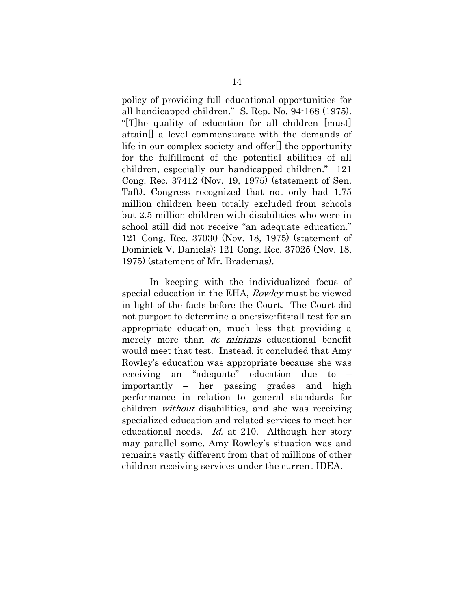policy of providing full educational opportunities for all handicapped children." S. Rep. No. 94-168 (1975). "[T]he quality of education for all children [must] attain[] a level commensurate with the demands of life in our complex society and offer[] the opportunity for the fulfillment of the potential abilities of all children, especially our handicapped children." 121 Cong. Rec. 37412 (Nov. 19, 1975) (statement of Sen. Taft). Congress recognized that not only had 1.75 million children been totally excluded from schools but 2.5 million children with disabilities who were in school still did not receive "an adequate education." 121 Cong. Rec. 37030 (Nov. 18, 1975) (statement of Dominick V. Daniels); 121 Cong. Rec. 37025 (Nov. 18, 1975) (statement of Mr. Brademas).

In keeping with the individualized focus of special education in the EHA, Rowley must be viewed in light of the facts before the Court. The Court did not purport to determine a one-size-fits-all test for an appropriate education, much less that providing a merely more than *de minimis* educational benefit would meet that test. Instead, it concluded that Amy Rowley's education was appropriate because she was receiving an "adequate" education due to – importantly – her passing grades and high performance in relation to general standards for children without disabilities, and she was receiving specialized education and related services to meet her educational needs. *Id.* at 210. Although her story may parallel some, Amy Rowley's situation was and remains vastly different from that of millions of other children receiving services under the current IDEA.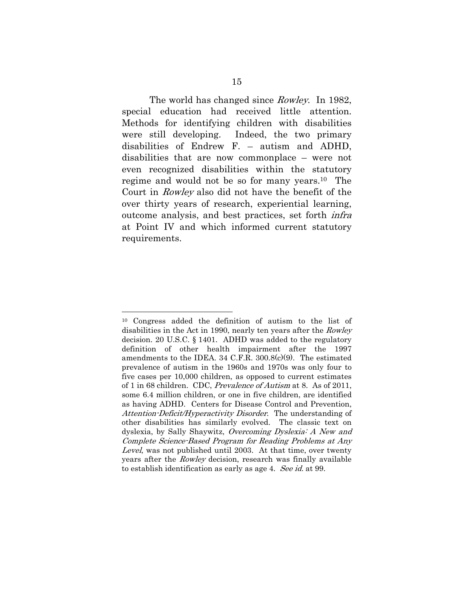The world has changed since *Rowley*. In 1982, special education had received little attention. Methods for identifying children with disabilities were still developing. Indeed, the two primary disabilities of Endrew F. – autism and ADHD, disabilities that are now commonplace – were not even recognized disabilities within the statutory regime and would not be so for many years.10 The Court in Rowley also did not have the benefit of the over thirty years of research, experiential learning, outcome analysis, and best practices, set forth infra at Point IV and which informed current statutory requirements.

<sup>10</sup> Congress added the definition of autism to the list of disabilities in the Act in 1990, nearly ten years after the Rowley decision. 20 U.S.C. § 1401. ADHD was added to the regulatory definition of other health impairment after the 1997 amendments to the IDEA. 34 C.F.R. 300.8(c)(9). The estimated prevalence of autism in the 1960s and 1970s was only four to five cases per 10,000 children, as opposed to current estimates of 1 in 68 children. CDC, Prevalence of Autism at 8. As of 2011, some 6.4 million children, or one in five children, are identified as having ADHD. Centers for Disease Control and Prevention, Attention-Deficit/Hyperactivity Disorder. The understanding of other disabilities has similarly evolved. The classic text on dyslexia, by Sally Shaywitz, Overcoming Dyslexia: A New and Complete Science-Based Program for Reading Problems at Any Level, was not published until 2003. At that time, over twenty years after the Rowley decision, research was finally available to establish identification as early as age 4. See id. at 99.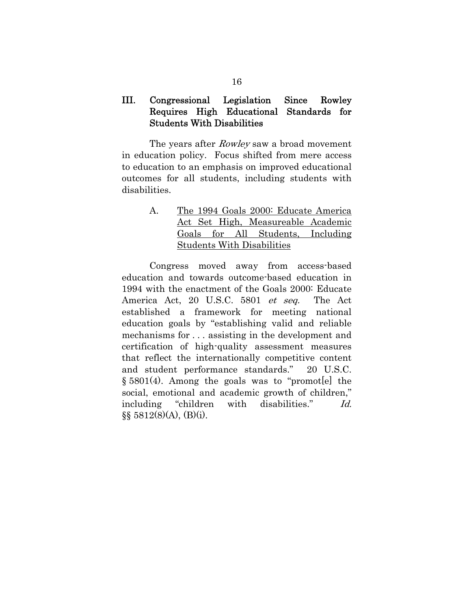### III. Congressional Legislation Since Rowley Requires High Educational Standards for Students With Disabilities

The years after *Rowley* saw a broad movement in education policy. Focus shifted from mere access to education to an emphasis on improved educational outcomes for all students, including students with disabilities.

| $\mathbf{A}$ . |  | The 1994 Goals 2000: Educate America |  |
|----------------|--|--------------------------------------|--|
|                |  | Act Set High, Measureable Academic   |  |
|                |  | Goals for All Students, Including    |  |
|                |  | <b>Students With Disabilities</b>    |  |

Congress moved away from access-based education and towards outcome-based education in 1994 with the enactment of the Goals 2000: Educate America Act, 20 U.S.C. 5801 et seq. The Act established a framework for meeting national education goals by "establishing valid and reliable mechanisms for . . . assisting in the development and certification of high-quality assessment measures that reflect the internationally competitive content and student performance standards." 20 U.S.C. § 5801(4). Among the goals was to "promot[e] the social, emotional and academic growth of children," including "children with disabilities." Id.  $\S\S 5812(8)(A)$ , (B)(i).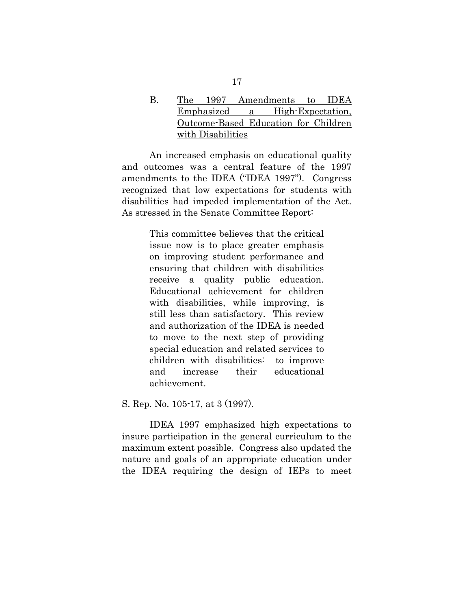B. The 1997 Amendments to IDEA Emphasized a High-Expectation, Outcome-Based Education for Children with Disabilities

An increased emphasis on educational quality and outcomes was a central feature of the 1997 amendments to the IDEA ("IDEA 1997"). Congress recognized that low expectations for students with disabilities had impeded implementation of the Act. As stressed in the Senate Committee Report:

> This committee believes that the critical issue now is to place greater emphasis on improving student performance and ensuring that children with disabilities receive a quality public education. Educational achievement for children with disabilities, while improving, is still less than satisfactory. This review and authorization of the IDEA is needed to move to the next step of providing special education and related services to children with disabilities: to improve and increase their educational achievement.

S. Rep. No. 105-17, at 3 (1997).

IDEA 1997 emphasized high expectations to insure participation in the general curriculum to the maximum extent possible. Congress also updated the nature and goals of an appropriate education under the IDEA requiring the design of IEPs to meet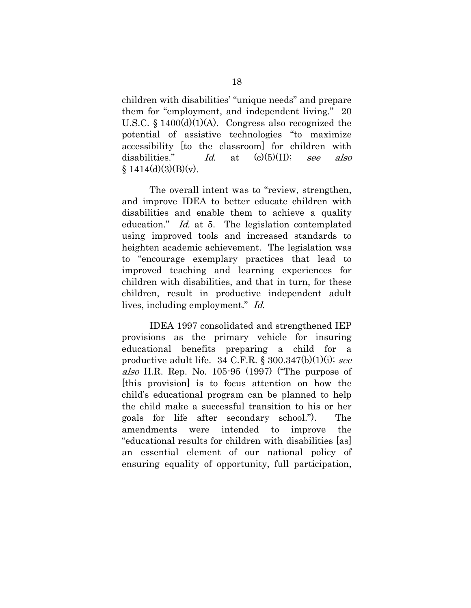children with disabilities' "unique needs" and prepare them for "employment, and independent living." 20 U.S.C.  $\S$  1400(d)(1)(A). Congress also recognized the potential of assistive technologies "to maximize accessibility [to the classroom] for children with disabilities." Id. at  $(c)(5)(H)$ ; see also  $$1414(d)(3)(B)(v).$ 

The overall intent was to "review, strengthen, and improve IDEA to better educate children with disabilities and enable them to achieve a quality education." *Id.* at 5. The legislation contemplated using improved tools and increased standards to heighten academic achievement. The legislation was to "encourage exemplary practices that lead to improved teaching and learning experiences for children with disabilities, and that in turn, for these children, result in productive independent adult lives, including employment." Id.

IDEA 1997 consolidated and strengthened IEP provisions as the primary vehicle for insuring educational benefits preparing a child for a productive adult life. 34 C.F.R.  $\S 300.347(b)(1)(i)$ ; see also H.R. Rep. No. 105-95 (1997) ("The purpose of [this provision] is to focus attention on how the child's educational program can be planned to help the child make a successful transition to his or her goals for life after secondary school."). The amendments were intended to improve the "educational results for children with disabilities [as] an essential element of our national policy of ensuring equality of opportunity, full participation,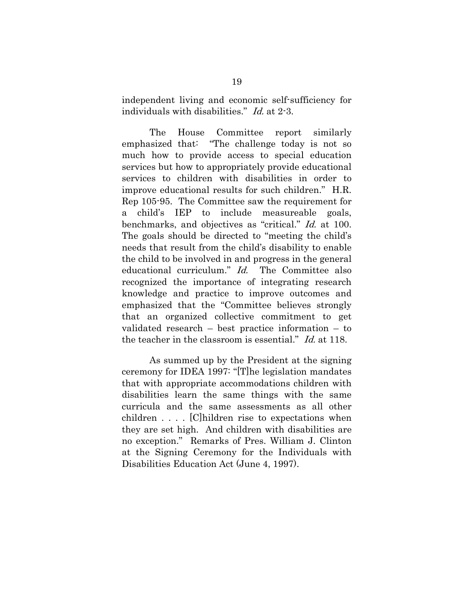independent living and economic self-sufficiency for individuals with disabilities." Id. at 2-3.

The House Committee report similarly emphasized that: "The challenge today is not so much how to provide access to special education services but how to appropriately provide educational services to children with disabilities in order to improve educational results for such children." H.R. Rep 105-95. The Committee saw the requirement for a child's IEP to include measureable goals, benchmarks, and objectives as "critical." Id. at 100. The goals should be directed to "meeting the child's needs that result from the child's disability to enable the child to be involved in and progress in the general educational curriculum." *Id.* The Committee also recognized the importance of integrating research knowledge and practice to improve outcomes and emphasized that the "Committee believes strongly that an organized collective commitment to get validated research – best practice information – to the teacher in the classroom is essential." Id. at 118.

As summed up by the President at the signing ceremony for IDEA 1997: "[T]he legislation mandates that with appropriate accommodations children with disabilities learn the same things with the same curricula and the same assessments as all other children . . . . [C]hildren rise to expectations when they are set high. And children with disabilities are no exception." Remarks of Pres. William J. Clinton at the Signing Ceremony for the Individuals with Disabilities Education Act (June 4, 1997).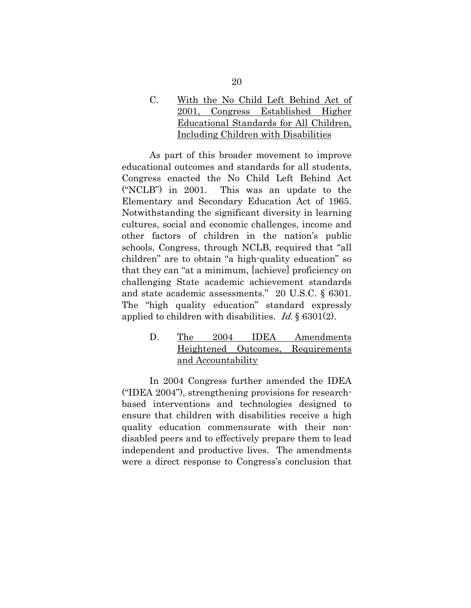C. With the No Child Left Behind Act of 2001, Congress Established Higher Educational Standards for All Children, Including Children with Disabilities

As part of this broader movement to improve educational outcomes and standards for all students, Congress enacted the No Child Left Behind Act ("NCLB") in 2001. This was an update to the Elementary and Secondary Education Act of 1965. Notwithstanding the significant diversity in learning cultures, social and economic challenges, income and other factors of children in the nation's public schools, Congress, through NCLB, required that "all children" are to obtain "a high-quality education" so that they can "at a minimum, [achieve] proficiency on challenging State academic achievement standards and state academic assessments." 20 U.S.C. § 6301. The "high quality education" standard expressly applied to children with disabilities. *Id.*  $\S$  6301(2).

> D. The 2004 IDEA Amendments Heightened Outcomes, Requirements and Accountability

In 2004 Congress further amended the IDEA ("IDEA 2004"), strengthening provisions for researchbased interventions and technologies designed to ensure that children with disabilities receive a high quality education commensurate with their nondisabled peers and to effectively prepare them to lead independent and productive lives. The amendments were a direct response to Congress's conclusion that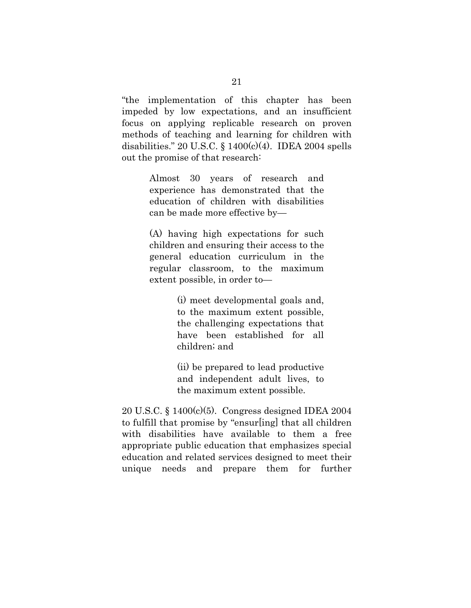"the implementation of this chapter has been impeded by low expectations, and an insufficient focus on applying replicable research on proven methods of teaching and learning for children with disabilities." 20 U.S.C.  $\S$  1400(c)(4). IDEA 2004 spells out the promise of that research:

> Almost 30 years of research and experience has demonstrated that the education of children with disabilities can be made more effective by—

> (A) having high expectations for such children and ensuring their access to the general education curriculum in the regular classroom, to the maximum extent possible, in order to—

> > (i) meet developmental goals and, to the maximum extent possible, the challenging expectations that have been established for all children; and

> > (ii) be prepared to lead productive and independent adult lives, to the maximum extent possible.

20 U.S.C. § 1400(c)(5). Congress designed IDEA 2004 to fulfill that promise by "ensur[ing] that all children with disabilities have available to them a free appropriate public education that emphasizes special education and related services designed to meet their unique needs and prepare them for further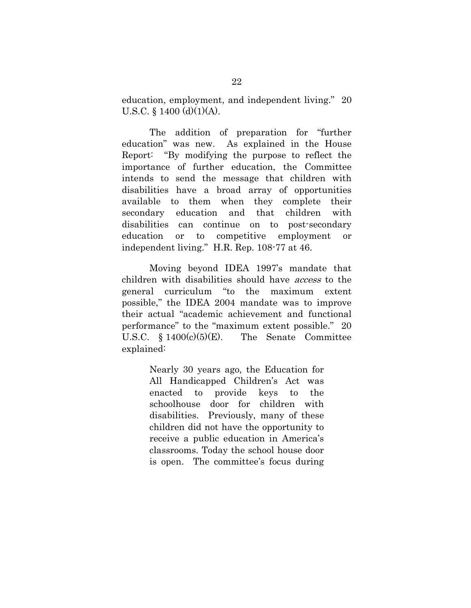education, employment, and independent living." 20 U.S.C. § 1400 (d)(1)(A).

The addition of preparation for "further education" was new. As explained in the House Report: "By modifying the purpose to reflect the importance of further education, the Committee intends to send the message that children with disabilities have a broad array of opportunities available to them when they complete their secondary education and that children with disabilities can continue on to post-secondary education or to competitive employment or independent living." H.R. Rep. 108-77 at 46.

Moving beyond IDEA 1997's mandate that children with disabilities should have access to the general curriculum "to the maximum extent possible," the IDEA 2004 mandate was to improve their actual "academic achievement and functional performance" to the "maximum extent possible." 20 U.S.C. § 1400(c)(5)(E). The Senate Committee explained:

> Nearly 30 years ago, the Education for All Handicapped Children's Act was enacted to provide keys to the schoolhouse door for children with disabilities. Previously, many of these children did not have the opportunity to receive a public education in America's classrooms. Today the school house door is open. The committee's focus during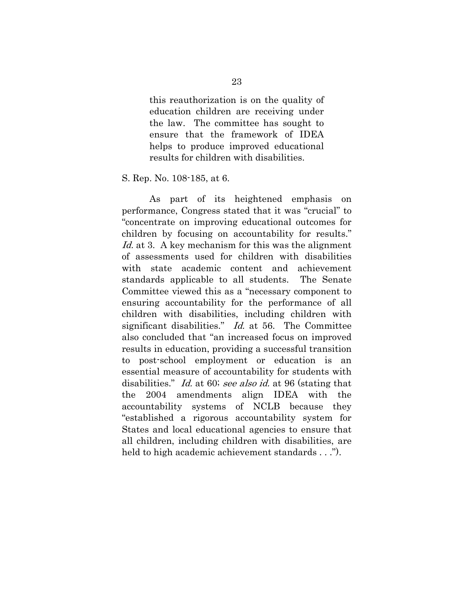this reauthorization is on the quality of education children are receiving under the law. The committee has sought to ensure that the framework of IDEA helps to produce improved educational results for children with disabilities.

S. Rep. No. 108-185, at 6.

As part of its heightened emphasis on performance, Congress stated that it was "crucial" to "concentrate on improving educational outcomes for children by focusing on accountability for results." Id. at 3. A key mechanism for this was the alignment of assessments used for children with disabilities with state academic content and achievement standards applicable to all students. The Senate Committee viewed this as a "necessary component to ensuring accountability for the performance of all children with disabilities, including children with significant disabilities." *Id.* at 56. The Committee also concluded that "an increased focus on improved results in education, providing a successful transition to post-school employment or education is an essential measure of accountability for students with disabilities." Id. at 60; see also id. at 96 (stating that the 2004 amendments align IDEA with the accountability systems of NCLB because they "established a rigorous accountability system for States and local educational agencies to ensure that all children, including children with disabilities, are held to high academic achievement standards . . .").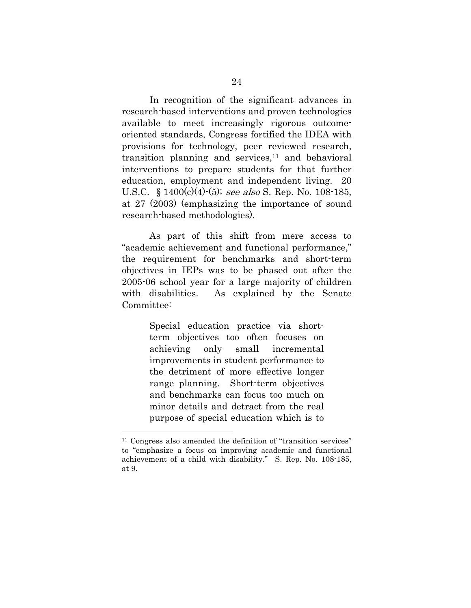In recognition of the significant advances in research-based interventions and proven technologies available to meet increasingly rigorous outcomeoriented standards, Congress fortified the IDEA with provisions for technology, peer reviewed research, transition planning and services, $11$  and behavioral interventions to prepare students for that further education, employment and independent living. 20 U.S.C.  $\frac{1400(c)(4)-(5)}{2}$ ; see also S. Rep. No. 108-185, at 27 (2003) (emphasizing the importance of sound research-based methodologies).

As part of this shift from mere access to "academic achievement and functional performance," the requirement for benchmarks and short-term objectives in IEPs was to be phased out after the 2005-06 school year for a large majority of children with disabilities. As explained by the Senate Committee:

> Special education practice via shortterm objectives too often focuses on achieving only small incremental improvements in student performance to the detriment of more effective longer range planning. Short-term objectives and benchmarks can focus too much on minor details and detract from the real purpose of special education which is to

<sup>&</sup>lt;sup>11</sup> Congress also amended the definition of "transition services" to "emphasize a focus on improving academic and functional achievement of a child with disability." S. Rep. No. 108-185, at 9.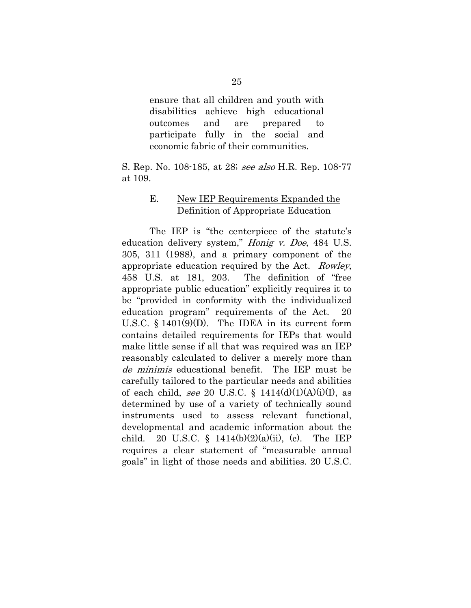ensure that all children and youth with disabilities achieve high educational outcomes and are prepared to participate fully in the social and economic fabric of their communities.

S. Rep. No. 108-185, at 28; see also H.R. Rep. 108-77 at 109.

#### E. New IEP Requirements Expanded the Definition of Appropriate Education

The IEP is "the centerpiece of the statute's education delivery system," Honig v. Doe, 484 U.S. 305, 311 (1988), and a primary component of the appropriate education required by the Act. Rowley, 458 U.S. at 181, 203. The definition of "free appropriate public education" explicitly requires it to be "provided in conformity with the individualized education program" requirements of the Act. 20 U.S.C. § 1401(9)(D). The IDEA in its current form contains detailed requirements for IEPs that would make little sense if all that was required was an IEP reasonably calculated to deliver a merely more than de minimis educational benefit. The IEP must be carefully tailored to the particular needs and abilities of each child, see 20 U.S.C. §  $1414(d)(1)(A)(i)(I)$ , as determined by use of a variety of technically sound instruments used to assess relevant functional, developmental and academic information about the child. 20 U.S.C. § 1414(b)(2)(a)(ii), (c). The IEP requires a clear statement of "measurable annual goals" in light of those needs and abilities. 20 U.S.C.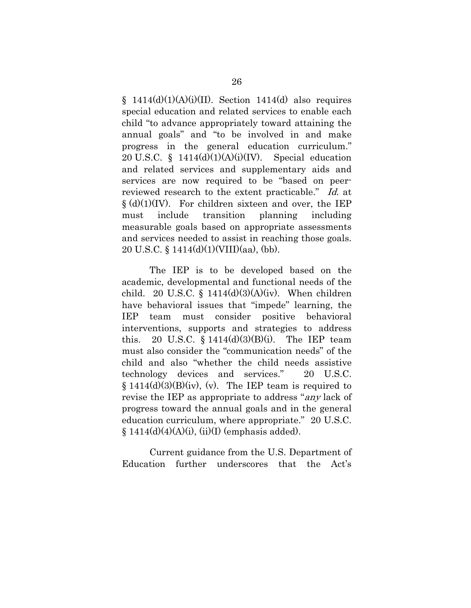$\S$  1414(d)(1)(A)(i)(II). Section 1414(d) also requires special education and related services to enable each child "to advance appropriately toward attaining the annual goals" and "to be involved in and make progress in the general education curriculum." 20 U.S.C. §  $1414(d)(1)(A)(i)(IV)$ . Special education and related services and supplementary aids and services are now required to be "based on peerreviewed research to the extent practicable." Id. at  $\S(d)(1)(IV)$ . For children sixteen and over, the IEP must include transition planning including measurable goals based on appropriate assessments and services needed to assist in reaching those goals. 20 U.S.C. § 1414(d)(1)(VIII)(aa), (bb).

The IEP is to be developed based on the academic, developmental and functional needs of the child. 20 U.S.C.  $\S$  1414(d)(3)(A)(iv). When children have behavioral issues that "impede" learning, the IEP team must consider positive behavioral interventions, supports and strategies to address this. 20 U.S.C.  $\S 1414(d)(3)(B)(i)$ . The IEP team must also consider the "communication needs" of the child and also "whether the child needs assistive technology devices and services." 20 U.S.C.  $\S 1414(d)(3)(B)(iv)$ , (v). The IEP team is required to revise the IEP as appropriate to address "any lack of progress toward the annual goals and in the general education curriculum, where appropriate." 20 U.S.C.  $\S 1414(d)(4)(A)(i)$ , (ii)(I) (emphasis added).

Current guidance from the U.S. Department of Education further underscores that the Act's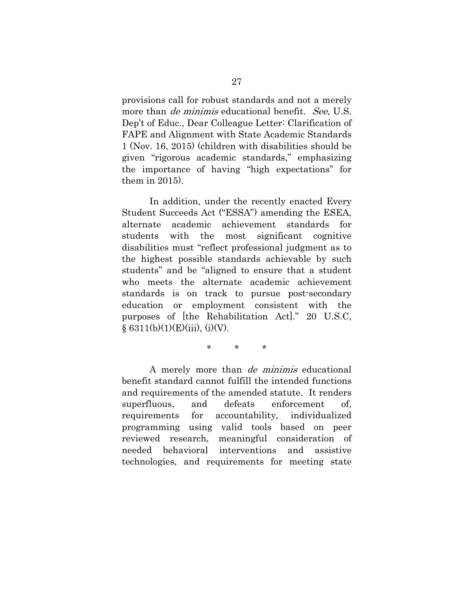provisions call for robust standards and not a merely more than *de minimis* educational benefit. *See*, U.S. Dep't of Educ., Dear Colleague Letter: Clarification of FAPE and Alignment with State Academic Standards 1 (Nov. 16, 2015) (children with disabilities should be given "rigorous academic standards," emphasizing the importance of having "high expectations" for them in 2015).

In addition, under the recently enacted Every Student Succeeds Act ("ESSA") amending the ESEA, alternate academic achievement standards for students with the most significant cognitive disabilities must "reflect professional judgment as to the highest possible standards achievable by such students" and be "aligned to ensure that a student who meets the alternate academic achievement standards is on track to pursue post-secondary education or employment consistent with the purposes of [the Rehabilitation Act]." 20 U.S.C,  $§ 6311(b)(1)(E)(iii), (i)(V).$ 

\* \* \*

A merely more than de minimis educational benefit standard cannot fulfill the intended functions and requirements of the amended statute. It renders superfluous, and defeats enforcement of, requirements for accountability, individualized programming using valid tools based on peer reviewed research, meaningful consideration of needed behavioral interventions and assistive technologies, and requirements for meeting state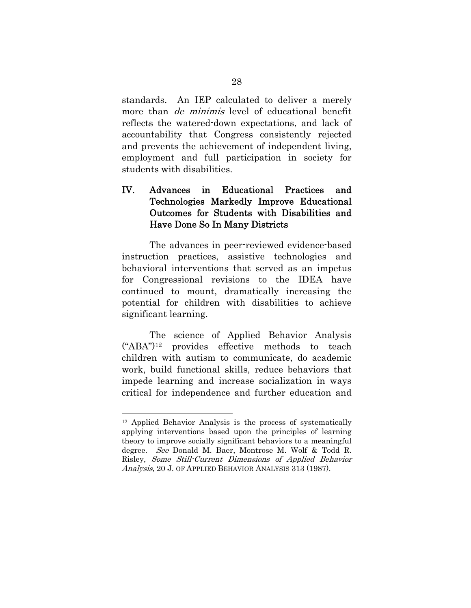standards. An IEP calculated to deliver a merely more than *de minimis* level of educational benefit reflects the watered-down expectations, and lack of accountability that Congress consistently rejected and prevents the achievement of independent living, employment and full participation in society for students with disabilities.

### IV. Advances in Educational Practices and Technologies Markedly Improve Educational Outcomes for Students with Disabilities and Have Done So In Many Districts

The advances in peer-reviewed evidence-based instruction practices, assistive technologies and behavioral interventions that served as an impetus for Congressional revisions to the IDEA have continued to mount, dramatically increasing the potential for children with disabilities to achieve significant learning.

The science of Applied Behavior Analysis ("ABA")12 provides effective methods to teach children with autism to communicate, do academic work, build functional skills, reduce behaviors that impede learning and increase socialization in ways critical for independence and further education and

<sup>12</sup> Applied Behavior Analysis is the process of systematically applying interventions based upon the principles of learning theory to improve socially significant behaviors to a meaningful degree. See Donald M. Baer, Montrose M. Wolf & Todd R. Risley, Some Still-Current Dimensions of Applied Behavior Analysis, 20 J. OF APPLIED BEHAVIOR ANALYSIS 313 (1987).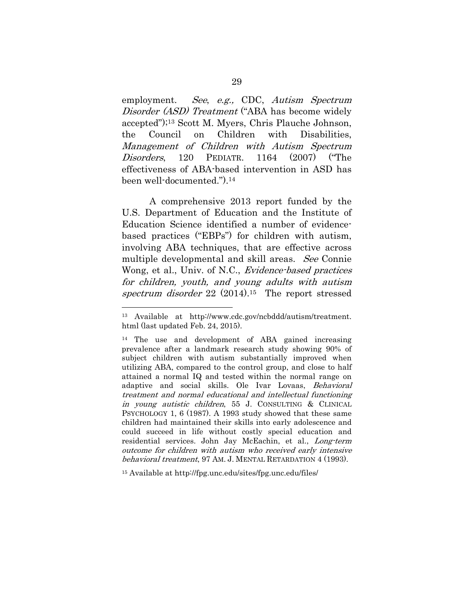employment. See, e.g., CDC, Autism Spectrum Disorder (ASD) Treatment ("ABA has become widely accepted");13 Scott M. Myers, Chris Plauche Johnson, the Council on Children with Disabilities, Management of Children with Autism Spectrum Disorders, 120 PEDIATR. 1164 (2007) ("The effectiveness of ABA-based intervention in ASD has been well-documented.").14

A comprehensive 2013 report funded by the U.S. Department of Education and the Institute of Education Science identified a number of evidencebased practices ("EBPs") for children with autism, involving ABA techniques, that are effective across multiple developmental and skill areas. See Connie Wong, et al., Univ. of N.C., Evidence-based practices for children, youth, and young adults with autism spectrum disorder 22 (2014).<sup>15</sup> The report stressed

15 Available at http://fpg.unc.edu/sites/fpg.unc.edu/files/

<sup>13</sup> Available at http://www.cdc.gov/ncbddd/autism/treatment. html (last updated Feb. 24, 2015).

<sup>&</sup>lt;sup>14</sup> The use and development of ABA gained increasing prevalence after a landmark research study showing 90% of subject children with autism substantially improved when utilizing ABA, compared to the control group, and close to half attained a normal IQ and tested within the normal range on adaptive and social skills. Ole Ivar Lovaas, Behavioral treatment and normal educational and intellectual functioning in young autistic children, 55 J. CONSULTING & CLINICAL PSYCHOLOGY 1, 6 (1987). A 1993 study showed that these same children had maintained their skills into early adolescence and could succeed in life without costly special education and residential services. John Jay McEachin, et al., Long-term outcome for children with autism who received early intensive behavioral treatment, 97 AM. J. MENTAL RETARDATION 4 (1993).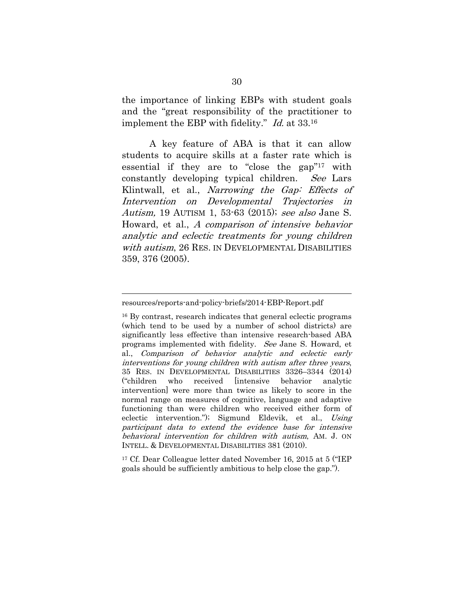the importance of linking EBPs with student goals and the "great responsibility of the practitioner to implement the EBP with fidelity." Id. at 33.16

A key feature of ABA is that it can allow students to acquire skills at a faster rate which is essential if they are to "close the gap"17 with constantly developing typical children. See Lars Klintwall, et al., *Narrowing the Gap: Effects of* Intervention on Developmental Trajectories in Autism, 19 AUTISM 1, 53-63 (2015); see also Jane S. Howard, et al., A comparison of intensive behavior analytic and eclectic treatments for young children with autism, 26 RES. IN DEVELOPMENTAL DISABILITIES 359, 376 (2005).

17 Cf. Dear Colleague letter dated November 16, 2015 at 5 ("IEP goals should be sufficiently ambitious to help close the gap.").

resources/reports-and-policy-briefs/2014-EBP-Report.pdf

<sup>16</sup> By contrast, research indicates that general eclectic programs (which tend to be used by a number of school districts) are significantly less effective than intensive research-based ABA programs implemented with fidelity. See Jane S. Howard, et al., Comparison of behavior analytic and eclectic early interventions for young children with autism after three years, 35 RES. IN DEVELOPMENTAL DISABILITIES 3326–3344 (2014) ("children who received [intensive behavior analytic intervention] were more than twice as likely to score in the normal range on measures of cognitive, language and adaptive functioning than were children who received either form of eclectic intervention."); Sigmund Eldevik, et al., Using participant data to extend the evidence base for intensive behavioral intervention for children with autism, AM. J. ON INTELL. & DEVELOPMENTAL DISABILITIES 381 (2010).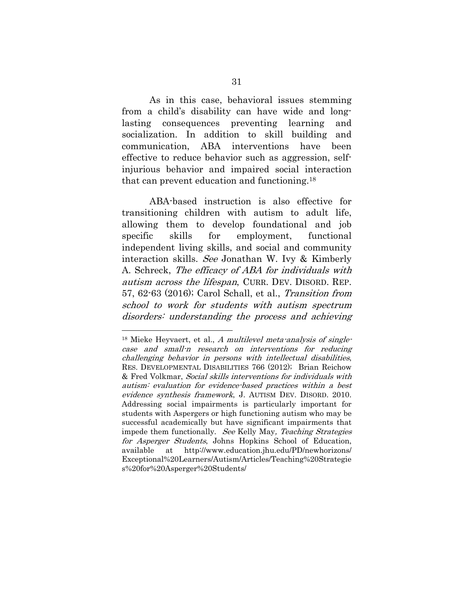As in this case, behavioral issues stemming from a child's disability can have wide and longlasting consequences preventing learning and socialization. In addition to skill building and communication, ABA interventions have been effective to reduce behavior such as aggression, selfinjurious behavior and impaired social interaction that can prevent education and functioning.18

ABA-based instruction is also effective for transitioning children with autism to adult life, allowing them to develop foundational and job specific skills for employment, functional independent living skills, and social and community interaction skills. See Jonathan W. Ivy & Kimberly A. Schreck, The efficacy of ABA for individuals with autism across the lifespan, CURR. DEV. DISORD. REP. 57, 62-63 (2016); Carol Schall, et al., Transition from school to work for students with autism spectrum disorders: understanding the process and achieving

 $18$  Mieke Heyvaert, et al., A multilevel meta-analysis of singlecase and small-n research on interventions for reducing challenging behavior in persons with intellectual disabilities, RES. DEVELOPMENTAL DISABILITIES 766 (2012); Brian Reichow & Fred Volkmar, Social skills interventions for individuals with autism: evaluation for evidence-based practices within a best evidence synthesis framework, J. AUTISM DEV. DISORD. 2010. Addressing social impairments is particularly important for students with Aspergers or high functioning autism who may be successful academically but have significant impairments that impede them functionally. See Kelly May, Teaching Strategies for Asperger Students, Johns Hopkins School of Education, available at http://www.education.jhu.edu/PD/newhorizons/ Exceptional%20Learners/Autism/Articles/Teaching%20Strategie s%20for%20Asperger%20Students/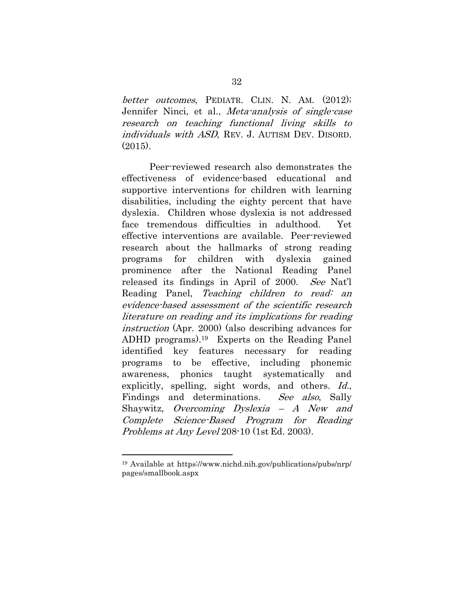better outcomes. PEDIATR. CLIN. N. AM. (2012); Jennifer Ninci, et al., Meta-analysis of single-case research on teaching functional living skills to individuals with ASD, REV. J. AUTISM DEV. DISORD.  $(2015)$ .

Peer-reviewed research also demonstrates the effectiveness of evidence-based educational and supportive interventions for children with learning disabilities, including the eighty percent that have dyslexia. Children whose dyslexia is not addressed face tremendous difficulties in adulthood. Yet effective interventions are available. Peer-reviewed research about the hallmarks of strong reading programs for children with dyslexia gained prominence after the National Reading Panel released its findings in April of 2000. See Nat'l Reading Panel, Teaching children to read: an evidence-based assessment of the scientific research literature on reading and its implications for reading instruction (Apr. 2000) (also describing advances for ADHD programs).19 Experts on the Reading Panel identified key features necessary for reading programs to be effective, including phonemic awareness, phonics taught systematically and explicitly, spelling, sight words, and others. *Id.*, Findings and determinations. See also, Sally Shaywitz, Overcoming Dyslexia – A New and Complete Science-Based Program for Reading Problems at Any Level 208-10 (1st Ed. 2003).

<sup>19</sup> Available at https://www.nichd.nih.gov/publications/pubs/nrp/ pages/smallbook.aspx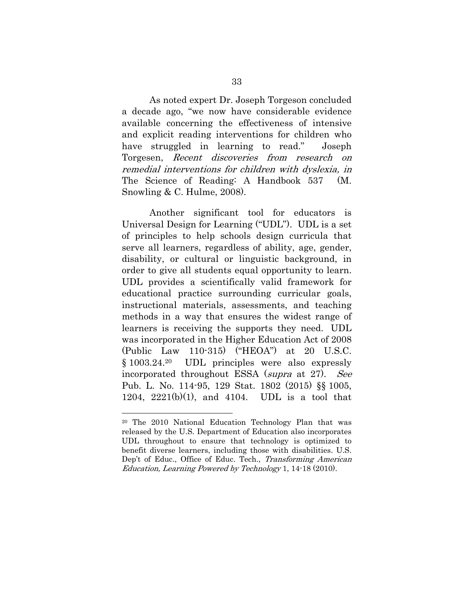As noted expert Dr. Joseph Torgeson concluded a decade ago, "we now have considerable evidence available concerning the effectiveness of intensive and explicit reading interventions for children who have struggled in learning to read." Joseph Torgesen, Recent discoveries from research on remedial interventions for children with dyslexia, in The Science of Reading: A Handbook 537 (M. Snowling & C. Hulme, 2008).

Another significant tool for educators is Universal Design for Learning ("UDL"). UDL is a set of principles to help schools design curricula that serve all learners, regardless of ability, age, gender, disability, or cultural or linguistic background, in order to give all students equal opportunity to learn. UDL provides a scientifically valid framework for educational practice surrounding curricular goals, instructional materials, assessments, and teaching methods in a way that ensures the widest range of learners is receiving the supports they need. UDL was incorporated in the Higher Education Act of 2008 (Public Law 110-315) ("HEOA") at 20 U.S.C. § 1003.24.20 UDL principles were also expressly incorporated throughout ESSA (supra at 27). See Pub. L. No. 114-95, 129 Stat. 1802 (2015) §§ 1005, 1204,  $2221(b)(1)$ , and 4104. UDL is a tool that

<sup>20</sup> The 2010 National Education Technology Plan that was released by the U.S. Department of Education also incorporates UDL throughout to ensure that technology is optimized to benefit diverse learners, including those with disabilities. U.S. Dep't of Educ., Office of Educ. Tech., Transforming American Education, Learning Powered by Technology 1, 14-18 (2010).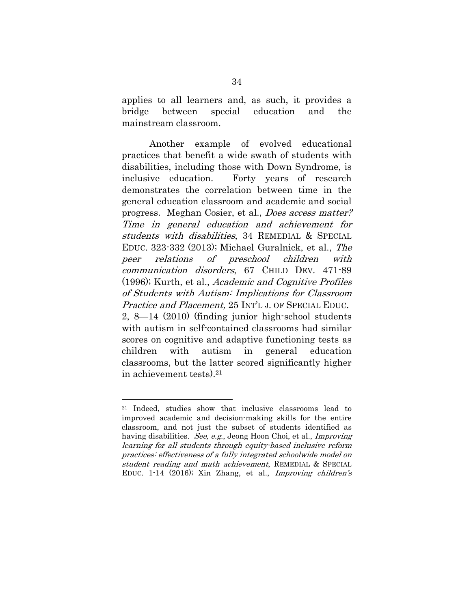applies to all learners and, as such, it provides a bridge between special education and the mainstream classroom.

Another example of evolved educational practices that benefit a wide swath of students with disabilities, including those with Down Syndrome, is inclusive education. Forty years of research demonstrates the correlation between time in the general education classroom and academic and social progress. Meghan Cosier, et al., Does access matter? Time in general education and achievement for students with disabilities, 34 REMEDIAL & SPECIAL EDUC. 323-332 (2013); Michael Guralnick, et al., The peer relations of preschool children with communication disorders, 67 CHILD DEV. 471-89 (1996); Kurth, et al., Academic and Cognitive Profiles of Students with Autism: Implications for Classroom Practice and Placement, 25 INT'L J. OF SPECIAL EDUC. 2, 8—14 (2010) (finding junior high-school students with autism in self-contained classrooms had similar scores on cognitive and adaptive functioning tests as children with autism in general education classrooms, but the latter scored significantly higher in achievement tests).21

<sup>21</sup> Indeed, studies show that inclusive classrooms lead to improved academic and decision-making skills for the entire classroom, and not just the subset of students identified as having disabilities. See, e.g., Jeong Hoon Choi, et al., *Improving* learning for all students through equity-based inclusive reform practices: effectiveness of a fully integrated schoolwide model on student reading and math achievement, REMEDIAL & SPECIAL EDUC. 1-14 (2016); Xin Zhang, et al., Improving children's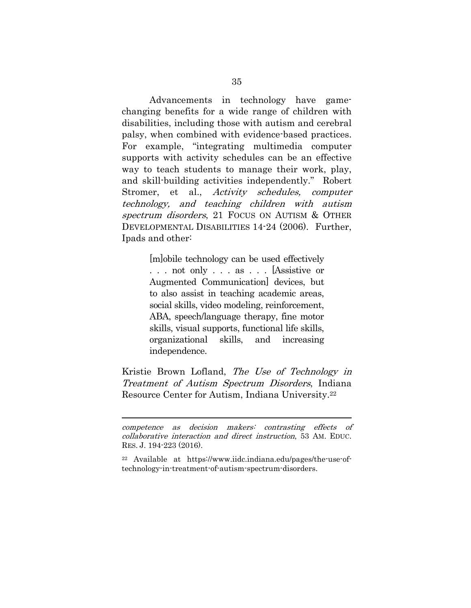Advancements in technology have gamechanging benefits for a wide range of children with disabilities, including those with autism and cerebral palsy, when combined with evidence-based practices. For example, "integrating multimedia computer supports with activity schedules can be an effective way to teach students to manage their work, play, and skill-building activities independently." Robert Stromer, et al., Activity schedules, computer technology, and teaching children with autism spectrum disorders, 21 FOCUS ON AUTISM & OTHER DEVELOPMENTAL DISABILITIES 14-24 (2006). Further, Ipads and other:

> [m]obile technology can be used effectively . . . not only . . . as . . . [Assistive or Augmented Communication] devices, but to also assist in teaching academic areas, social skills, video modeling, reinforcement, ABA, speech/language therapy, fine motor skills, visual supports, functional life skills, organizational skills, and increasing independence.

Kristie Brown Lofland, The Use of Technology in Treatment of Autism Spectrum Disorders, Indiana Resource Center for Autism, Indiana University.22

competence as decision makers: contrasting effects of collaborative interaction and direct instruction, 53 AM. EDUC. RES. J. 194-223 (2016).

<sup>22</sup> Available at https://www.iidc.indiana.edu/pages/the-use-oftechnology-in-treatment-of-autism-spectrum-disorders.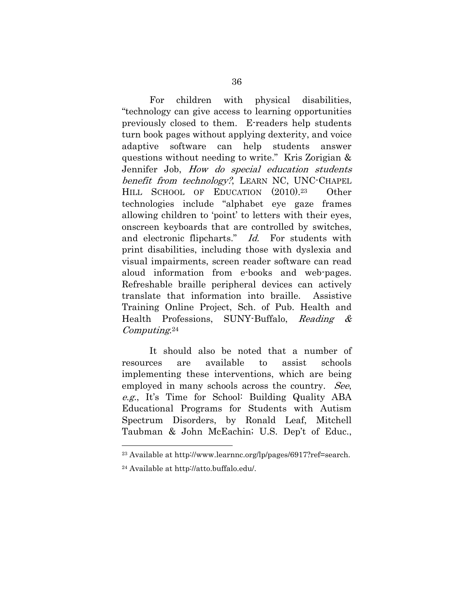For children with physical disabilities, "technology can give access to learning opportunities previously closed to them. E-readers help students turn book pages without applying dexterity, and voice adaptive software can help students answer questions without needing to write." Kris Zorigian & Jennifer Job, How do special education students benefit from technology?, LEARN NC, UNC-CHAPEL HILL SCHOOL OF EDUCATION (2010).23 Other technologies include "alphabet eye gaze frames allowing children to 'point' to letters with their eyes, onscreen keyboards that are controlled by switches, and electronic flipcharts." Id. For students with print disabilities, including those with dyslexia and visual impairments, screen reader software can read aloud information from e-books and web-pages. Refreshable braille peripheral devices can actively translate that information into braille. Assistive Training Online Project, Sch. of Pub. Health and Health Professions, SUNY-Buffalo, Reading & Computing.<sup>24</sup>

It should also be noted that a number of resources are available to assist schools implementing these interventions, which are being employed in many schools across the country. See, e.g., It's Time for School: Building Quality ABA Educational Programs for Students with Autism Spectrum Disorders, by Ronald Leaf, Mitchell Taubman & John McEachin; U.S. Dep't of Educ.,

<sup>23</sup> Available at http://www.learnnc.org/lp/pages/6917?ref=search.

<sup>24</sup> Available at http://atto.buffalo.edu/.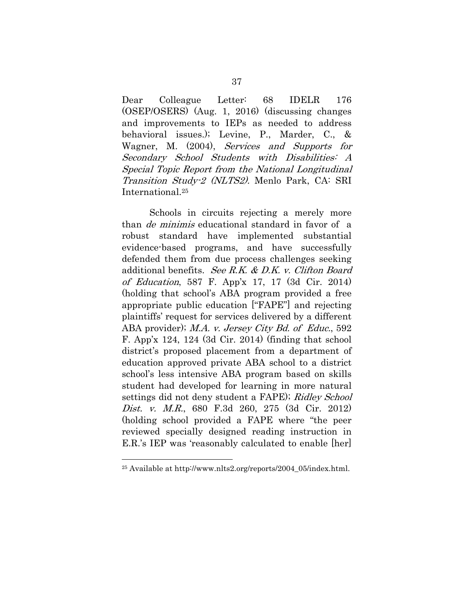Dear Colleague Letter: 68 IDELR 176 (OSEP/OSERS) (Aug. 1, 2016) (discussing changes and improvements to IEPs as needed to address behavioral issues.); Levine, P., Marder, C., & Wagner, M. (2004), Services and Supports for Secondary School Students with Disabilities: A Special Topic Report from the National Longitudinal Transition Study-2 (NLTS2). Menlo Park, CA: SRI International.25

Schools in circuits rejecting a merely more than de minimis educational standard in favor of a robust standard have implemented substantial evidence-based programs, and have successfully defended them from due process challenges seeking additional benefits. See R.K. & D.K. v. Clifton Board of Education, 587 F. App'x 17, 17 (3d Cir. 2014) (holding that school's ABA program provided a free appropriate public education ["FAPE"] and rejecting plaintiffs' request for services delivered by a different ABA provider); M.A. v. Jersey City Bd. of Educ., 592 F. App'x 124, 124 (3d Cir. 2014) (finding that school district's proposed placement from a department of education approved private ABA school to a district school's less intensive ABA program based on skills student had developed for learning in more natural settings did not deny student a FAPE); Ridley School Dist. v. M.R., 680 F.3d 260, 275 (3d Cir. 2012) (holding school provided a FAPE where "the peer reviewed specially designed reading instruction in E.R.'s IEP was 'reasonably calculated to enable [her]

<sup>25</sup> Available at http://www.nlts2.org/reports/2004\_05/index.html.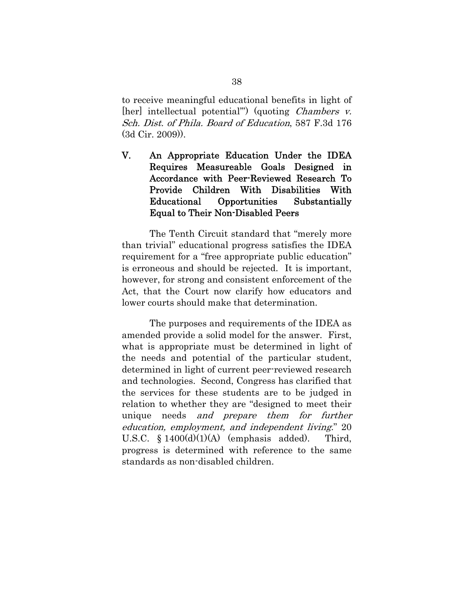to receive meaningful educational benefits in light of [her] intellectual potential") (quoting *Chambers v.* Sch. Dist. of Phila. Board of Education, 587 F.3d 176 (3d Cir. 2009)).

V. An Appropriate Education Under the IDEA Requires Measureable Goals Designed in Accordance with Peer-Reviewed Research To Provide Children With Disabilities With Educational Opportunities Substantially Equal to Their Non-Disabled Peers

The Tenth Circuit standard that "merely more than trivial" educational progress satisfies the IDEA requirement for a "free appropriate public education" is erroneous and should be rejected. It is important, however, for strong and consistent enforcement of the Act, that the Court now clarify how educators and lower courts should make that determination.

The purposes and requirements of the IDEA as amended provide a solid model for the answer. First, what is appropriate must be determined in light of the needs and potential of the particular student, determined in light of current peer-reviewed research and technologies. Second, Congress has clarified that the services for these students are to be judged in relation to whether they are "designed to meet their unique needs and prepare them for further education, employment, and independent living." 20 U.S.C.  $\S 1400(d)(1)(A)$  (emphasis added). Third, progress is determined with reference to the same standards as non-disabled children.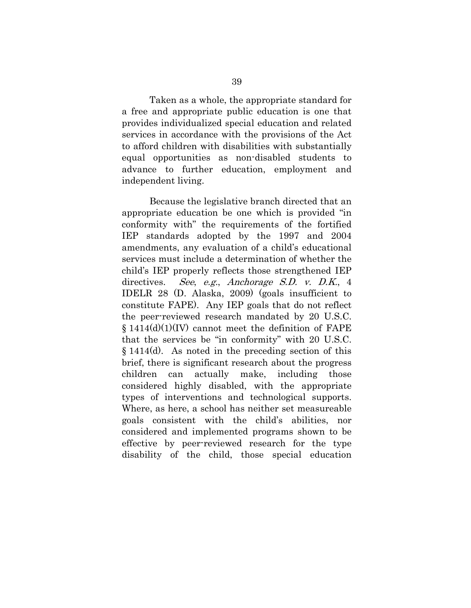Taken as a whole, the appropriate standard for a free and appropriate public education is one that provides individualized special education and related services in accordance with the provisions of the Act to afford children with disabilities with substantially equal opportunities as non-disabled students to advance to further education, employment and independent living.

Because the legislative branch directed that an appropriate education be one which is provided "in conformity with" the requirements of the fortified IEP standards adopted by the 1997 and 2004 amendments, any evaluation of a child's educational services must include a determination of whether the child's IEP properly reflects those strengthened IEP directives. See, e.g., Anchorage S.D. v. D.K., 4 IDELR 28 (D. Alaska, 2009) (goals insufficient to constitute FAPE). Any IEP goals that do not reflect the peer-reviewed research mandated by 20 U.S.C.  $\S$  1414(d)(1)(IV) cannot meet the definition of FAPE that the services be "in conformity" with 20 U.S.C. § 1414(d). As noted in the preceding section of this brief, there is significant research about the progress children can actually make, including those considered highly disabled, with the appropriate types of interventions and technological supports. Where, as here, a school has neither set measureable goals consistent with the child's abilities, nor considered and implemented programs shown to be effective by peer-reviewed research for the type disability of the child, those special education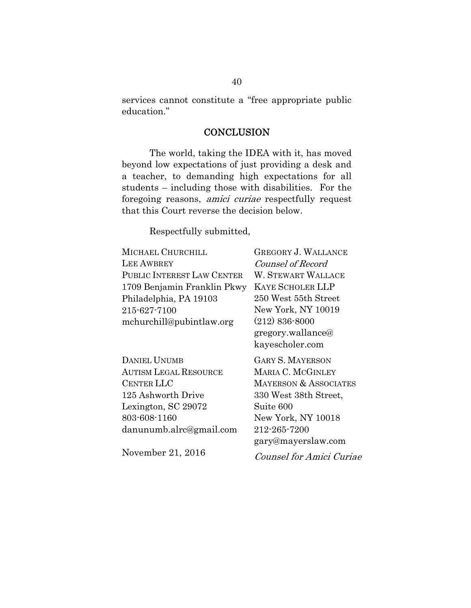services cannot constitute a "free appropriate public education."

#### **CONCLUSION**

The world, taking the IDEA with it, has moved beyond low expectations of just providing a desk and a teacher, to demanding high expectations for all students – including those with disabilities. For the foregoing reasons, amici curiae respectfully request that this Court reverse the decision below.

Respectfully submitted,

| <b>GREGORY J. WALLANCE</b> |
|----------------------------|
| Counsel of Record          |
| <b>W. STEWART WALLACE</b>  |
| <b>KAYE SCHOLER LLP</b>    |
| 250 West 55th Street       |
| New York, NY 10019         |
| $(212) 836 - 8000$         |
|                            |

| DANIEL UNUMB                 |
|------------------------------|
| <b>AUTISM LEGAL RESOURCE</b> |
| <b>CENTER LLC</b>            |
| 125 Ashworth Drive           |
| Lexington, SC 29072          |
| 803-608-1160                 |
| danunumb.alrc@gmail.com      |

gregory.wallance@ kayescholer.com

GARY S. MAYERSON MARIA C. MCGINLEY MAYERSON & ASSOCIATES 330 West 38th Street, Suite 600 New York, NY 10018 212-265-7200 gary@mayerslaw.com

November 21, 2016

Counsel for Amici Curiae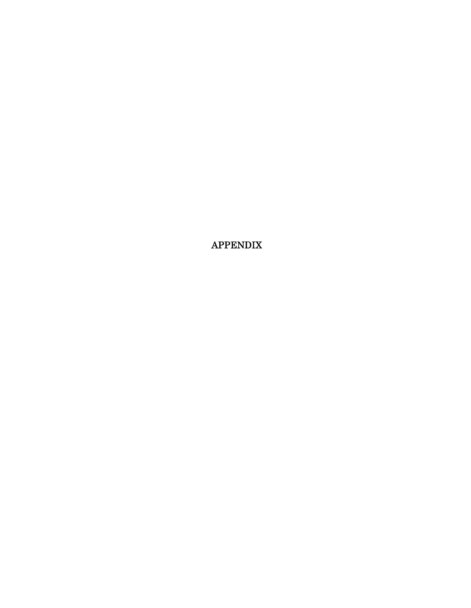APPENDIX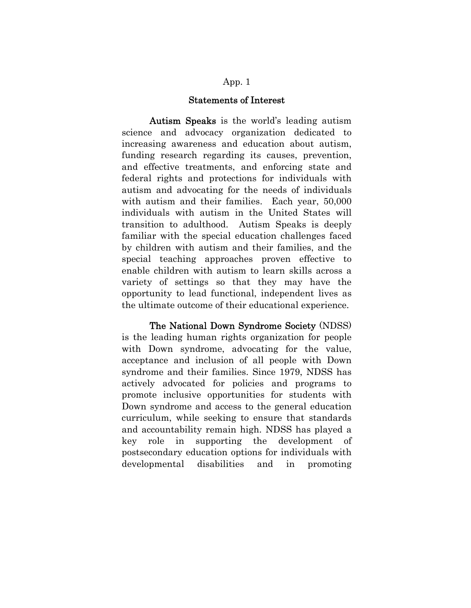#### Statements of Interest

Autism Speaks is the world's leading autism science and advocacy organization dedicated to increasing awareness and education about autism, funding research regarding its causes, prevention, and effective treatments, and enforcing state and federal rights and protections for individuals with autism and advocating for the needs of individuals with autism and their families. Each year, 50,000 individuals with autism in the United States will transition to adulthood. Autism Speaks is deeply familiar with the special education challenges faced by children with autism and their families, and the special teaching approaches proven effective to enable children with autism to learn skills across a variety of settings so that they may have the opportunity to lead functional, independent lives as the ultimate outcome of their educational experience.

The National Down Syndrome Society (NDSS) is the leading human rights organization for people with Down syndrome, advocating for the value, acceptance and inclusion of all people with Down syndrome and their families. Since 1979, NDSS has actively advocated for policies and programs to promote inclusive opportunities for students with Down syndrome and access to the general education curriculum, while seeking to ensure that standards and accountability remain high. NDSS has played a key role in supporting the development of postsecondary education options for individuals with developmental disabilities and in promoting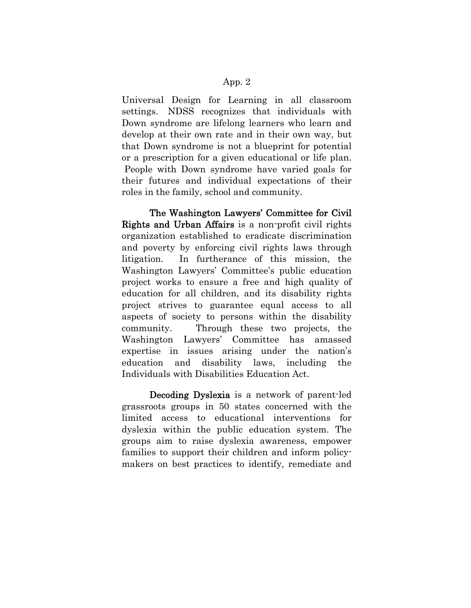Universal Design for Learning in all classroom settings. NDSS recognizes that individuals with Down syndrome are lifelong learners who learn and develop at their own rate and in their own way, but that Down syndrome is not a blueprint for potential or a prescription for a given educational or life plan. People with Down syndrome have varied goals for their futures and individual expectations of their roles in the family, school and community.

The Washington Lawyers' Committee for Civil Rights and Urban Affairs is a non-profit civil rights organization established to eradicate discrimination and poverty by enforcing civil rights laws through litigation. In furtherance of this mission, the Washington Lawyers' Committee's public education project works to ensure a free and high quality of education for all children, and its disability rights project strives to guarantee equal access to all aspects of society to persons within the disability community. Through these two projects, the Washington Lawyers' Committee has amassed expertise in issues arising under the nation's education and disability laws, including the Individuals with Disabilities Education Act.

Decoding Dyslexia is a network of parent-led grassroots groups in 50 states concerned with the limited access to educational interventions for dyslexia within the public education system. The groups aim to raise dyslexia awareness, empower families to support their children and inform policymakers on best practices to identify, remediate and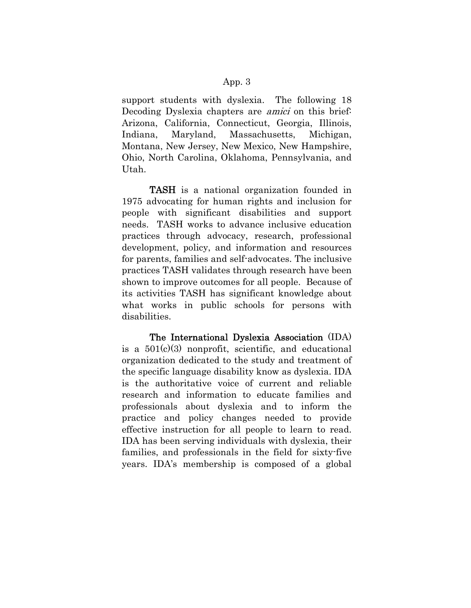support students with dyslexia. The following 18 Decoding Dyslexia chapters are *amici* on this brief. Arizona, California, Connecticut, Georgia, Illinois, Indiana, Maryland, Massachusetts, Michigan, Montana, New Jersey, New Mexico, New Hampshire, Ohio, North Carolina, Oklahoma, Pennsylvania, and Utah.

TASH is a national organization founded in 1975 advocating for human rights and inclusion for people with significant disabilities and support needs. TASH works to advance inclusive education practices through advocacy, research, professional development, policy, and information and resources for parents, families and self-advocates. The inclusive practices TASH validates through research have been shown to improve outcomes for all people. Because of its activities TASH has significant knowledge about what works in public schools for persons with disabilities.

The International Dyslexia Association (IDA) is a  $501(c)(3)$  nonprofit, scientific, and educational organization dedicated to the study and treatment of the specific language disability know as dyslexia. IDA is the authoritative voice of current and reliable research and information to educate families and professionals about dyslexia and to inform the practice and policy changes needed to provide effective instruction for all people to learn to read. IDA has been serving individuals with dyslexia, their families, and professionals in the field for sixty-five years. IDA's membership is composed of a global